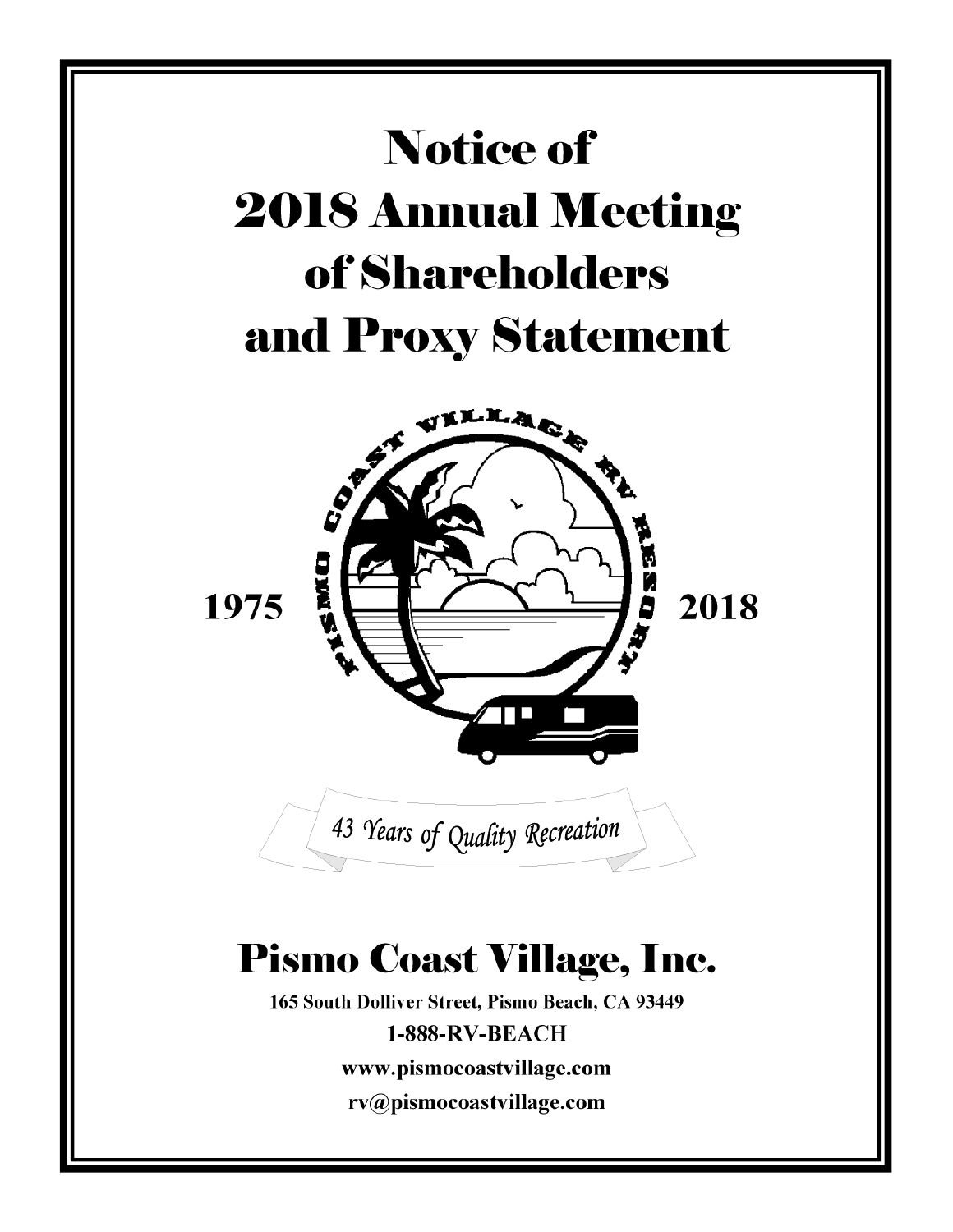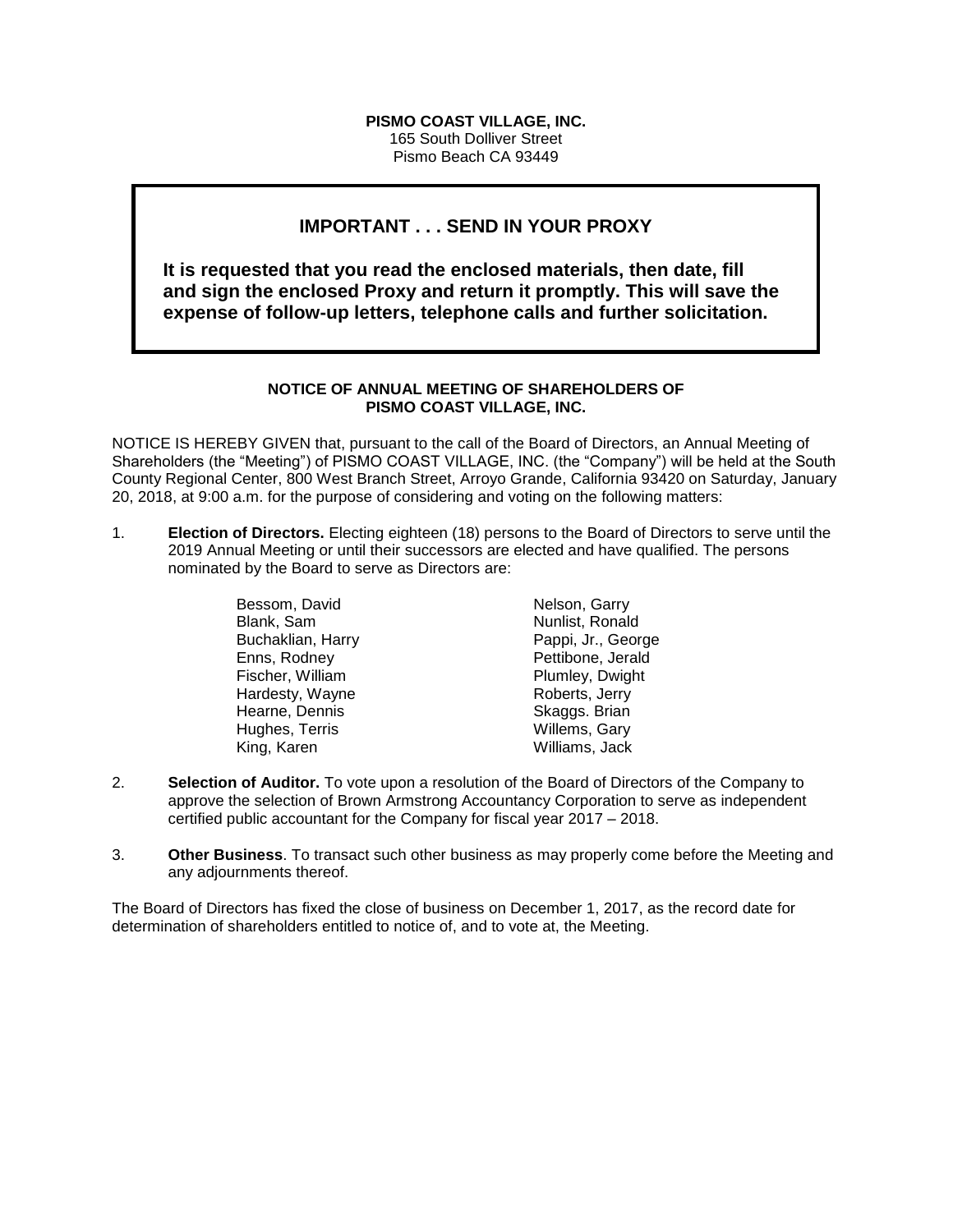## **PISMO COAST VILLAGE, INC.**

165 South Dolliver Street Pismo Beach CA 93449

# **IMPORTANT . . . SEND IN YOUR PROXY**

**It is requested that you read the enclosed materials, then date, fill and sign the enclosed Proxy and return it promptly. This will save the expense of follow-up letters, telephone calls and further solicitation.**

## **NOTICE OF ANNUAL MEETING OF SHAREHOLDERS OF PISMO COAST VILLAGE, INC.**

NOTICE IS HEREBY GIVEN that, pursuant to the call of the Board of Directors, an Annual Meeting of Shareholders (the "Meeting") of PISMO COAST VILLAGE, INC. (the "Company") will be held at the South County Regional Center, 800 West Branch Street, Arroyo Grande, California 93420 on Saturday, January 20, 2018, at 9:00 a.m. for the purpose of considering and voting on the following matters:

1. **Election of Directors.** Electing eighteen (18) persons to the Board of Directors to serve until the 2019 Annual Meeting or until their successors are elected and have qualified. The persons nominated by the Board to serve as Directors are:

| Bessom, David     |
|-------------------|
| Blank, Sam        |
| Buchaklian, Harry |
| Enns, Rodney      |
| Fischer, William  |
| Hardesty, Wayne   |
| Hearne, Dennis    |
| Hughes, Terris    |
| King, Karen       |

Nelson, Garry Nunlist, Ronald Pappi, Jr., George Pettibone, Jerald Plumley, Dwight Roberts, Jerry Skaggs. Brian Willems, Gary Williams, Jack

- 2. **Selection of Auditor.** To vote upon a resolution of the Board of Directors of the Company to approve the selection of Brown Armstrong Accountancy Corporation to serve as independent certified public accountant for the Company for fiscal year 2017 – 2018.
- 3. **Other Business**. To transact such other business as may properly come before the Meeting and any adjournments thereof.

The Board of Directors has fixed the close of business on December 1, 2017, as the record date for determination of shareholders entitled to notice of, and to vote at, the Meeting.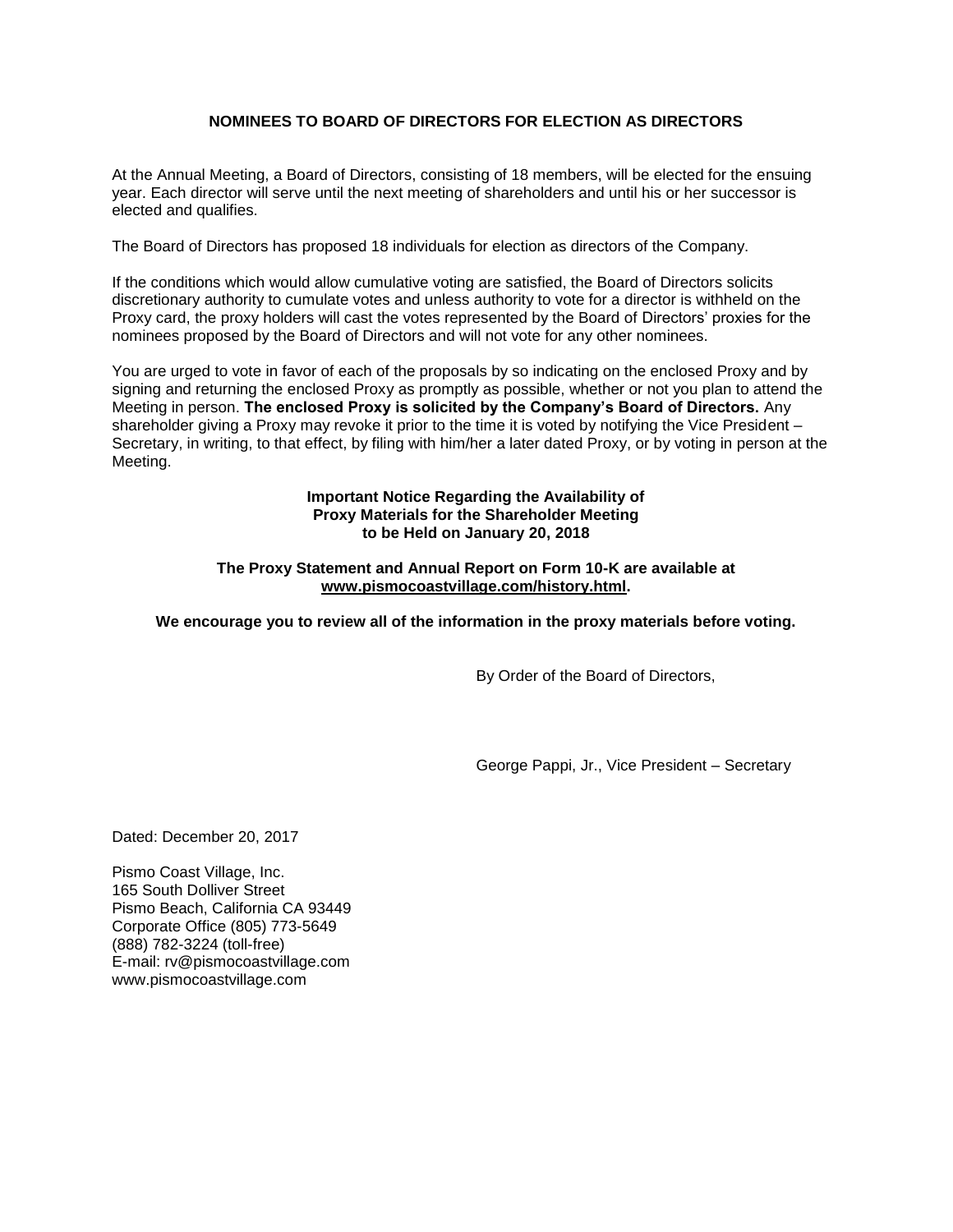# **NOMINEES TO BOARD OF DIRECTORS FOR ELECTION AS DIRECTORS**

At the Annual Meeting, a Board of Directors, consisting of 18 members, will be elected for the ensuing year. Each director will serve until the next meeting of shareholders and until his or her successor is elected and qualifies.

The Board of Directors has proposed 18 individuals for election as directors of the Company.

If the conditions which would allow cumulative voting are satisfied, the Board of Directors solicits discretionary authority to cumulate votes and unless authority to vote for a director is withheld on the Proxy card, the proxy holders will cast the votes represented by the Board of Directors' proxies for the nominees proposed by the Board of Directors and will not vote for any other nominees.

You are urged to vote in favor of each of the proposals by so indicating on the enclosed Proxy and by signing and returning the enclosed Proxy as promptly as possible, whether or not you plan to attend the Meeting in person. **The enclosed Proxy is solicited by the Company's Board of Directors.** Any shareholder giving a Proxy may revoke it prior to the time it is voted by notifying the Vice President – Secretary, in writing, to that effect, by filing with him/her a later dated Proxy, or by voting in person at the Meeting.

> **Important Notice Regarding the Availability of Proxy Materials for the Shareholder Meeting to be Held on January 20, 2018**

## **The Proxy Statement and Annual Report on Form 10-K are available at [www.pismocoastvillage.com/history.html.](http://www.pismocoastvillage.com/history.html)**

## **We encourage you to review all of the information in the proxy materials before voting.**

By Order of the Board of Directors,

George Pappi, Jr., Vice President – Secretary

Dated: December 20, 2017

Pismo Coast Village, Inc. 165 South Dolliver Street Pismo Beach, California CA 93449 Corporate Office (805) 773-5649 (888) 782-3224 (toll-free) E-mail: rv@pismocoastvillage.com www.pismocoastvillage.com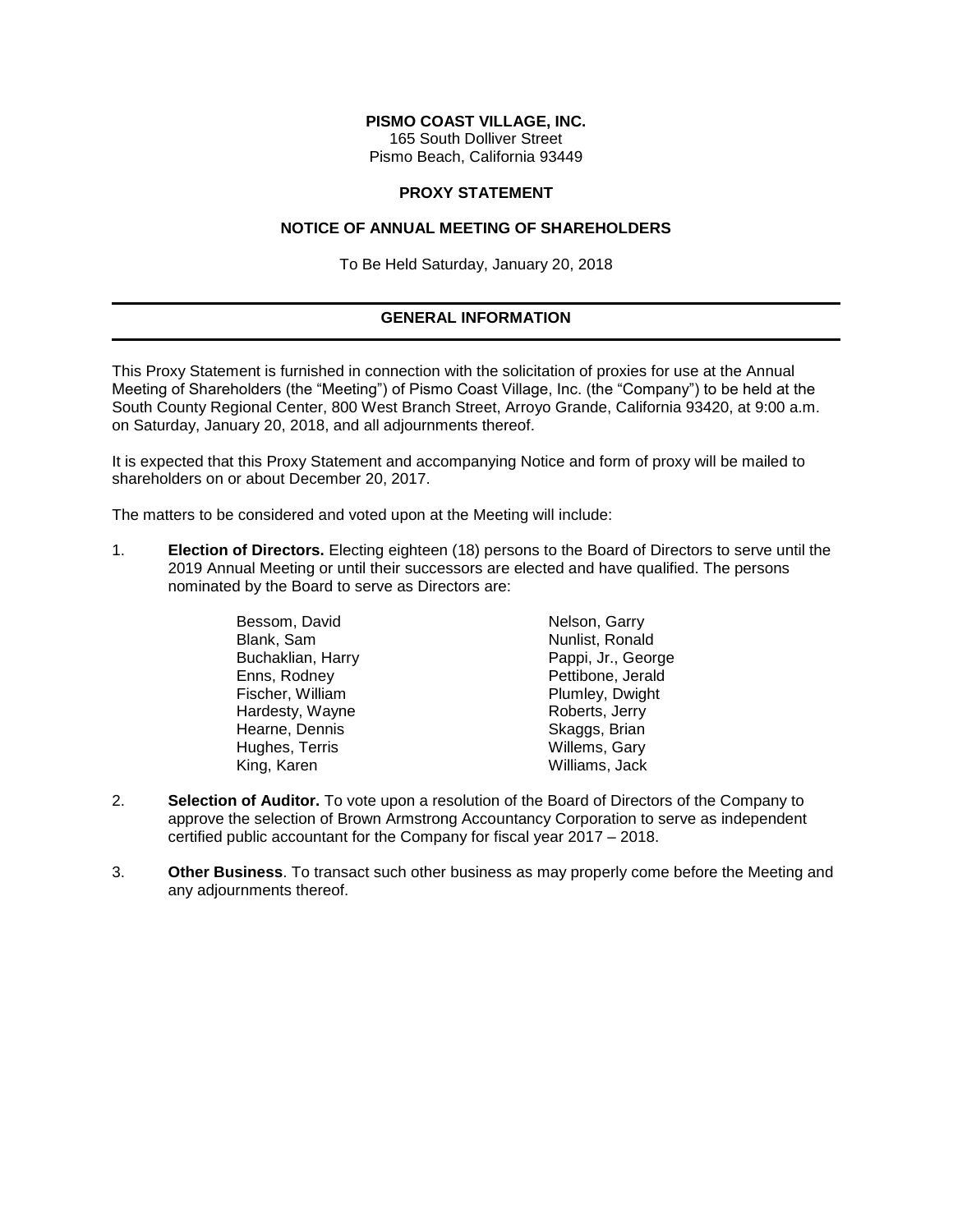## **PISMO COAST VILLAGE, INC.**

165 South Dolliver Street Pismo Beach, California 93449

#### **PROXY STATEMENT**

#### **NOTICE OF ANNUAL MEETING OF SHAREHOLDERS**

To Be Held Saturday, January 20, 2018

# **GENERAL INFORMATION**

This Proxy Statement is furnished in connection with the solicitation of proxies for use at the Annual Meeting of Shareholders (the "Meeting") of Pismo Coast Village, Inc. (the "Company") to be held at the South County Regional Center, 800 West Branch Street, Arroyo Grande, California 93420, at 9:00 a.m. on Saturday, January 20, 2018, and all adjournments thereof.

It is expected that this Proxy Statement and accompanying Notice and form of proxy will be mailed to shareholders on or about December 20, 2017.

The matters to be considered and voted upon at the Meeting will include:

1. **Election of Directors.** Electing eighteen (18) persons to the Board of Directors to serve until the 2019 Annual Meeting or until their successors are elected and have qualified. The persons nominated by the Board to serve as Directors are:

| Bessom, David     | Nelson, Garry      |
|-------------------|--------------------|
| Blank, Sam        | Nunlist, Ronald    |
| Buchaklian, Harry | Pappi, Jr., George |
| Enns, Rodney      | Pettibone, Jerald  |
| Fischer, William  | Plumley, Dwight    |
| Hardesty, Wayne   | Roberts, Jerry     |
| Hearne, Dennis    | Skaggs, Brian      |
| Hughes, Terris    | Willems, Gary      |
| King, Karen       | Williams, Jack     |

- 2. **Selection of Auditor.** To vote upon a resolution of the Board of Directors of the Company to approve the selection of Brown Armstrong Accountancy Corporation to serve as independent certified public accountant for the Company for fiscal year 2017 – 2018.
- 3. **Other Business**. To transact such other business as may properly come before the Meeting and any adjournments thereof.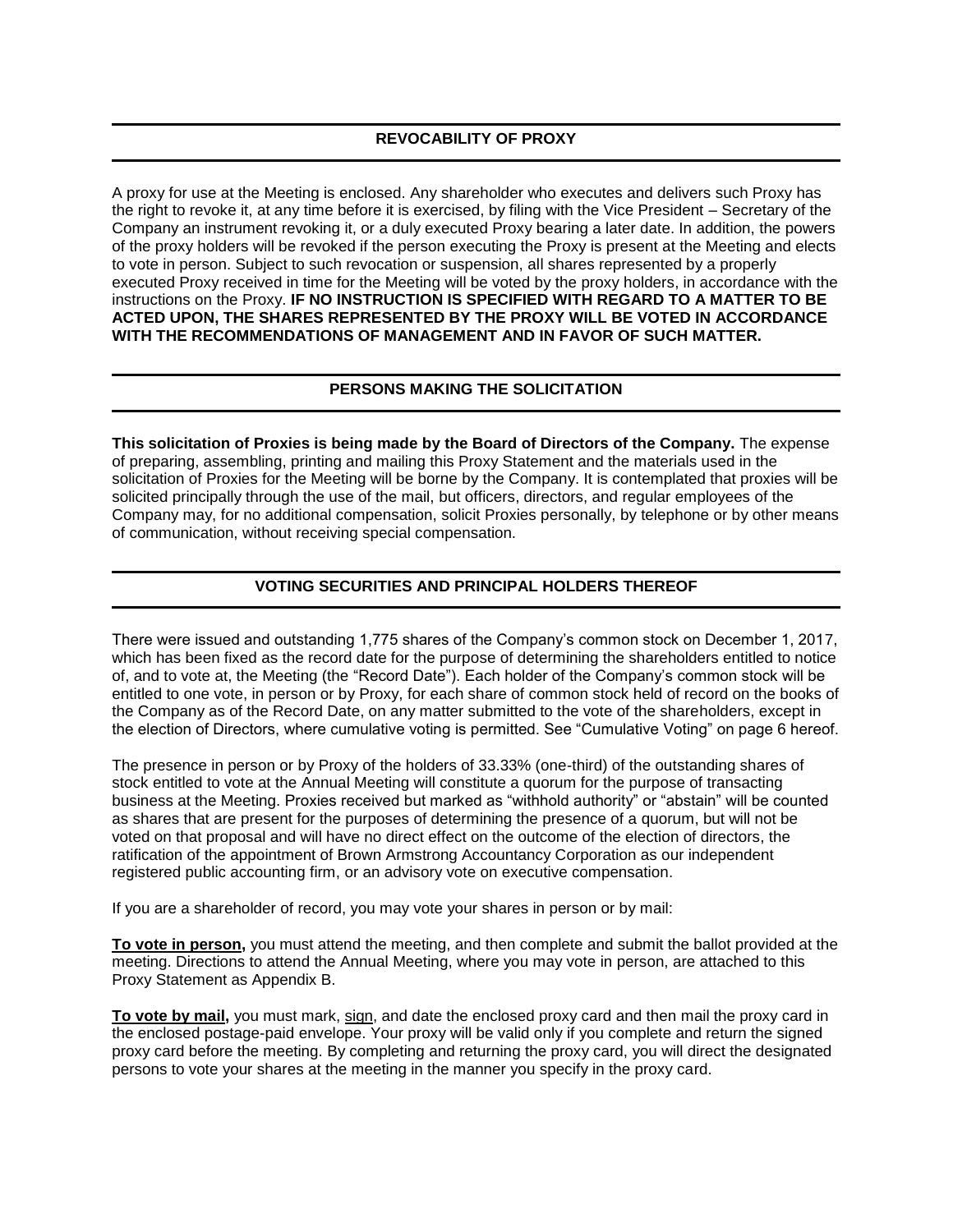# **REVOCABILITY OF PROXY**

A proxy for use at the Meeting is enclosed. Any shareholder who executes and delivers such Proxy has the right to revoke it, at any time before it is exercised, by filing with the Vice President – Secretary of the Company an instrument revoking it, or a duly executed Proxy bearing a later date. In addition, the powers of the proxy holders will be revoked if the person executing the Proxy is present at the Meeting and elects to vote in person. Subject to such revocation or suspension, all shares represented by a properly executed Proxy received in time for the Meeting will be voted by the proxy holders, in accordance with the instructions on the Proxy. **IF NO INSTRUCTION IS SPECIFIED WITH REGARD TO A MATTER TO BE ACTED UPON, THE SHARES REPRESENTED BY THE PROXY WILL BE VOTED IN ACCORDANCE WITH THE RECOMMENDATIONS OF MANAGEMENT AND IN FAVOR OF SUCH MATTER.**

# **PERSONS MAKING THE SOLICITATION**

**This solicitation of Proxies is being made by the Board of Directors of the Company.** The expense of preparing, assembling, printing and mailing this Proxy Statement and the materials used in the solicitation of Proxies for the Meeting will be borne by the Company. It is contemplated that proxies will be solicited principally through the use of the mail, but officers, directors, and regular employees of the Company may, for no additional compensation, solicit Proxies personally, by telephone or by other means of communication, without receiving special compensation.

# **VOTING SECURITIES AND PRINCIPAL HOLDERS THEREOF**

There were issued and outstanding 1,775 shares of the Company's common stock on December 1, 2017, which has been fixed as the record date for the purpose of determining the shareholders entitled to notice of, and to vote at, the Meeting (the "Record Date"). Each holder of the Company's common stock will be entitled to one vote, in person or by Proxy, for each share of common stock held of record on the books of the Company as of the Record Date, on any matter submitted to the vote of the shareholders, except in the election of Directors, where cumulative voting is permitted. See "Cumulative Voting" on page 6 hereof.

The presence in person or by Proxy of the holders of 33.33% (one-third) of the outstanding shares of stock entitled to vote at the Annual Meeting will constitute a quorum for the purpose of transacting business at the Meeting. Proxies received but marked as "withhold authority" or "abstain" will be counted as shares that are present for the purposes of determining the presence of a quorum, but will not be voted on that proposal and will have no direct effect on the outcome of the election of directors, the ratification of the appointment of Brown Armstrong Accountancy Corporation as our independent registered public accounting firm, or an advisory vote on executive compensation.

If you are a shareholder of record, you may vote your shares in person or by mail:

**To vote in person,** you must attend the meeting, and then complete and submit the ballot provided at the meeting. Directions to attend the Annual Meeting, where you may vote in person, are attached to this Proxy Statement as Appendix B.

**To vote by mail,** you must mark, sign, and date the enclosed proxy card and then mail the proxy card in the enclosed postage-paid envelope. Your proxy will be valid only if you complete and return the signed proxy card before the meeting. By completing and returning the proxy card, you will direct the designated persons to vote your shares at the meeting in the manner you specify in the proxy card.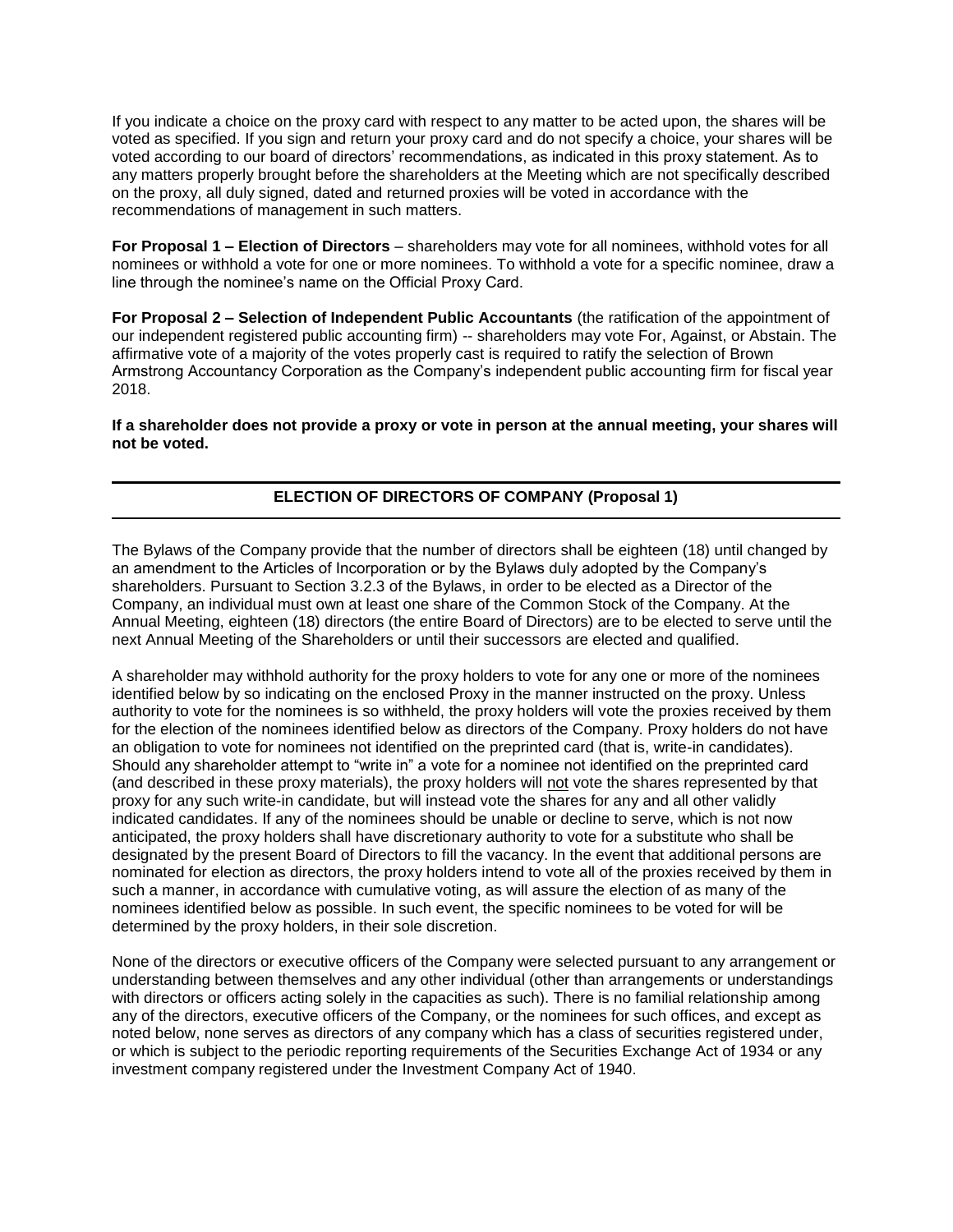If you indicate a choice on the proxy card with respect to any matter to be acted upon, the shares will be voted as specified. If you sign and return your proxy card and do not specify a choice, your shares will be voted according to our board of directors' recommendations, as indicated in this proxy statement. As to any matters properly brought before the shareholders at the Meeting which are not specifically described on the proxy, all duly signed, dated and returned proxies will be voted in accordance with the recommendations of management in such matters.

**For Proposal 1 – Election of Directors** – shareholders may vote for all nominees, withhold votes for all nominees or withhold a vote for one or more nominees. To withhold a vote for a specific nominee, draw a line through the nominee's name on the Official Proxy Card.

**For Proposal 2 – Selection of Independent Public Accountants** (the ratification of the appointment of our independent registered public accounting firm) -- shareholders may vote For, Against, or Abstain. The affirmative vote of a majority of the votes properly cast is required to ratify the selection of Brown Armstrong Accountancy Corporation as the Company's independent public accounting firm for fiscal year 2018.

**If a shareholder does not provide a proxy or vote in person at the annual meeting, your shares will not be voted.** 

# **ELECTION OF DIRECTORS OF COMPANY (Proposal 1)**

The Bylaws of the Company provide that the number of directors shall be eighteen (18) until changed by an amendment to the Articles of Incorporation or by the Bylaws duly adopted by the Company's shareholders. Pursuant to Section 3.2.3 of the Bylaws, in order to be elected as a Director of the Company, an individual must own at least one share of the Common Stock of the Company. At the Annual Meeting, eighteen (18) directors (the entire Board of Directors) are to be elected to serve until the next Annual Meeting of the Shareholders or until their successors are elected and qualified.

A shareholder may withhold authority for the proxy holders to vote for any one or more of the nominees identified below by so indicating on the enclosed Proxy in the manner instructed on the proxy. Unless authority to vote for the nominees is so withheld, the proxy holders will vote the proxies received by them for the election of the nominees identified below as directors of the Company. Proxy holders do not have an obligation to vote for nominees not identified on the preprinted card (that is, write-in candidates). Should any shareholder attempt to "write in" a vote for a nominee not identified on the preprinted card (and described in these proxy materials), the proxy holders will not vote the shares represented by that proxy for any such write-in candidate, but will instead vote the shares for any and all other validly indicated candidates. If any of the nominees should be unable or decline to serve, which is not now anticipated, the proxy holders shall have discretionary authority to vote for a substitute who shall be designated by the present Board of Directors to fill the vacancy. In the event that additional persons are nominated for election as directors, the proxy holders intend to vote all of the proxies received by them in such a manner, in accordance with cumulative voting, as will assure the election of as many of the nominees identified below as possible. In such event, the specific nominees to be voted for will be determined by the proxy holders, in their sole discretion.

None of the directors or executive officers of the Company were selected pursuant to any arrangement or understanding between themselves and any other individual (other than arrangements or understandings with directors or officers acting solely in the capacities as such). There is no familial relationship among any of the directors, executive officers of the Company, or the nominees for such offices, and except as noted below, none serves as directors of any company which has a class of securities registered under, or which is subject to the periodic reporting requirements of the Securities Exchange Act of 1934 or any investment company registered under the Investment Company Act of 1940.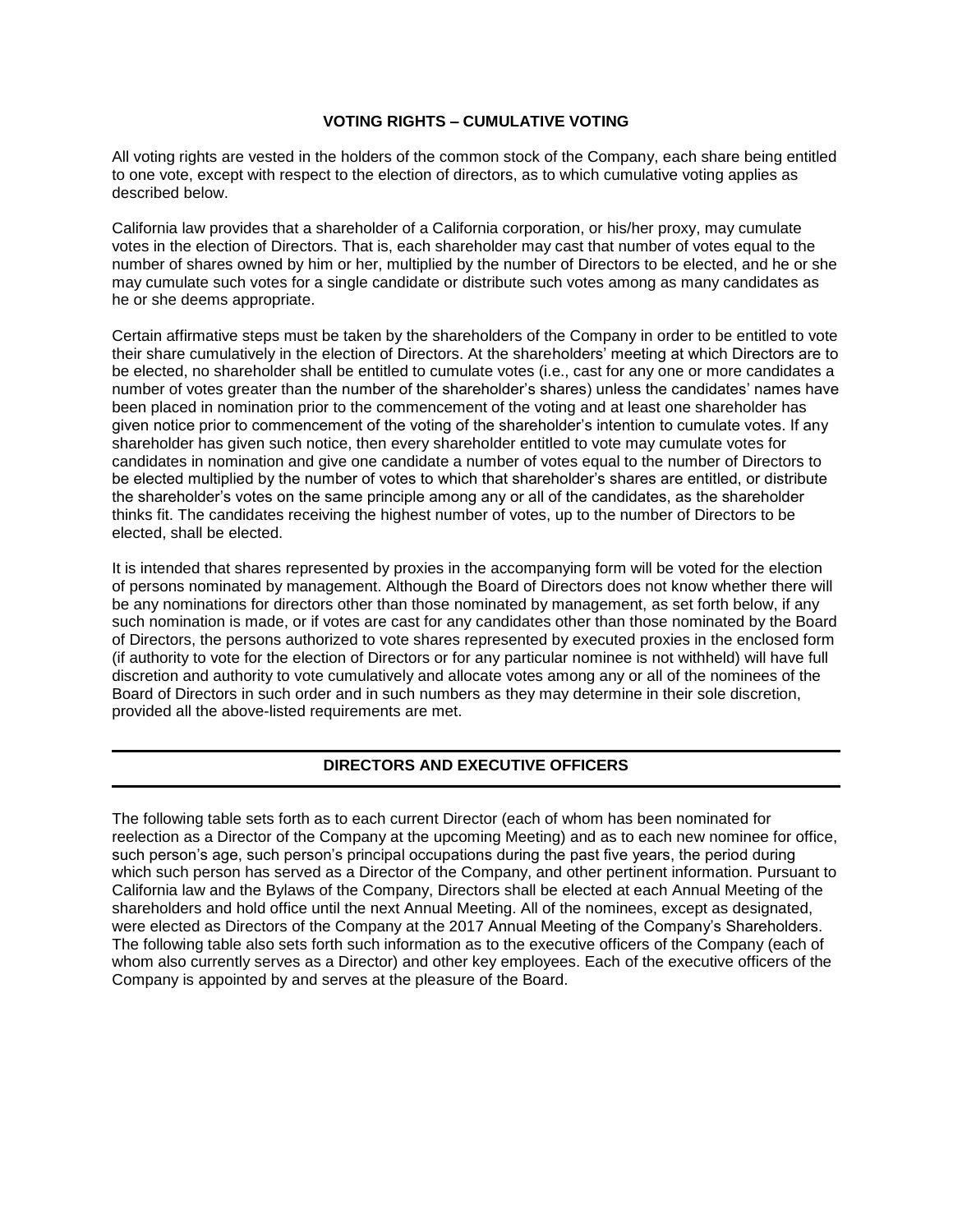## **VOTING RIGHTS – CUMULATIVE VOTING**

All voting rights are vested in the holders of the common stock of the Company, each share being entitled to one vote, except with respect to the election of directors, as to which cumulative voting applies as described below.

California law provides that a shareholder of a California corporation, or his/her proxy, may cumulate votes in the election of Directors. That is, each shareholder may cast that number of votes equal to the number of shares owned by him or her, multiplied by the number of Directors to be elected, and he or she may cumulate such votes for a single candidate or distribute such votes among as many candidates as he or she deems appropriate.

Certain affirmative steps must be taken by the shareholders of the Company in order to be entitled to vote their share cumulatively in the election of Directors. At the shareholders' meeting at which Directors are to be elected, no shareholder shall be entitled to cumulate votes (i.e., cast for any one or more candidates a number of votes greater than the number of the shareholder's shares) unless the candidates' names have been placed in nomination prior to the commencement of the voting and at least one shareholder has given notice prior to commencement of the voting of the shareholder's intention to cumulate votes. If any shareholder has given such notice, then every shareholder entitled to vote may cumulate votes for candidates in nomination and give one candidate a number of votes equal to the number of Directors to be elected multiplied by the number of votes to which that shareholder's shares are entitled, or distribute the shareholder's votes on the same principle among any or all of the candidates, as the shareholder thinks fit. The candidates receiving the highest number of votes, up to the number of Directors to be elected, shall be elected.

It is intended that shares represented by proxies in the accompanying form will be voted for the election of persons nominated by management. Although the Board of Directors does not know whether there will be any nominations for directors other than those nominated by management, as set forth below, if any such nomination is made, or if votes are cast for any candidates other than those nominated by the Board of Directors, the persons authorized to vote shares represented by executed proxies in the enclosed form (if authority to vote for the election of Directors or for any particular nominee is not withheld) will have full discretion and authority to vote cumulatively and allocate votes among any or all of the nominees of the Board of Directors in such order and in such numbers as they may determine in their sole discretion, provided all the above-listed requirements are met.

# **DIRECTORS AND EXECUTIVE OFFICERS**

The following table sets forth as to each current Director (each of whom has been nominated for reelection as a Director of the Company at the upcoming Meeting) and as to each new nominee for office, such person's age, such person's principal occupations during the past five years, the period during which such person has served as a Director of the Company, and other pertinent information. Pursuant to California law and the Bylaws of the Company, Directors shall be elected at each Annual Meeting of the shareholders and hold office until the next Annual Meeting. All of the nominees, except as designated, were elected as Directors of the Company at the 2017 Annual Meeting of the Company's Shareholders. The following table also sets forth such information as to the executive officers of the Company (each of whom also currently serves as a Director) and other key employees. Each of the executive officers of the Company is appointed by and serves at the pleasure of the Board.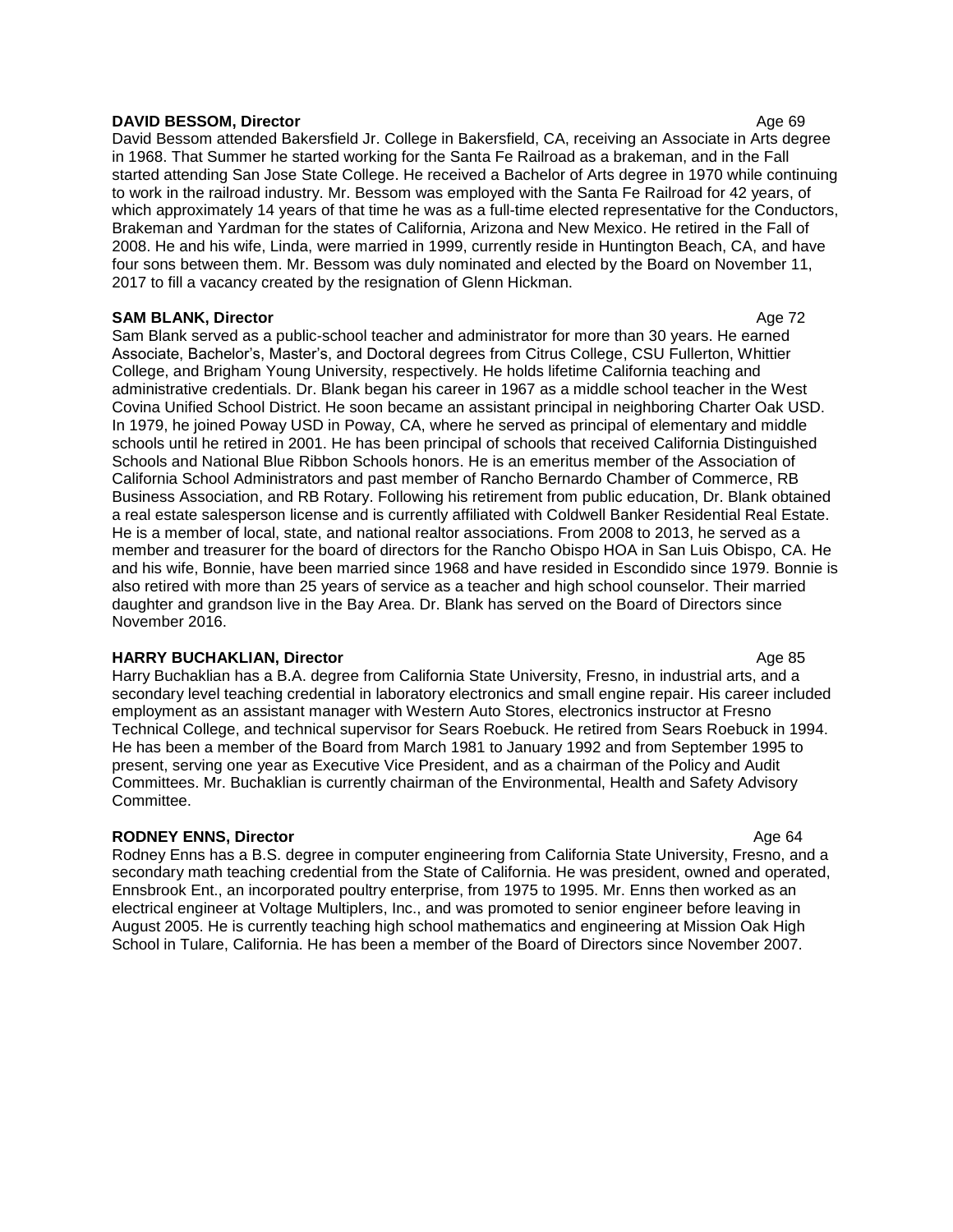#### **DAVID BESSOM, Director** Age 69

David Bessom attended Bakersfield Jr. College in Bakersfield, CA, receiving an Associate in Arts degree in 1968. That Summer he started working for the Santa Fe Railroad as a brakeman, and in the Fall started attending San Jose State College. He received a Bachelor of Arts degree in 1970 while continuing to work in the railroad industry. Mr. Bessom was employed with the Santa Fe Railroad for 42 years, of which approximately 14 years of that time he was as a full-time elected representative for the Conductors, Brakeman and Yardman for the states of California, Arizona and New Mexico. He retired in the Fall of 2008. He and his wife, Linda, were married in 1999, currently reside in Huntington Beach, CA, and have four sons between them. Mr. Bessom was duly nominated and elected by the Board on November 11, 2017 to fill a vacancy created by the resignation of Glenn Hickman.

## **SAM BLANK, Director** Age 72

Sam Blank served as a public-school teacher and administrator for more than 30 years. He earned Associate, Bachelor's, Master's, and Doctoral degrees from Citrus College, CSU Fullerton, Whittier College, and Brigham Young University, respectively. He holds lifetime California teaching and administrative credentials. Dr. Blank began his career in 1967 as a middle school teacher in the West Covina Unified School District. He soon became an assistant principal in neighboring Charter Oak USD. In 1979, he joined Poway USD in Poway, CA, where he served as principal of elementary and middle schools until he retired in 2001. He has been principal of schools that received California Distinguished Schools and National Blue Ribbon Schools honors. He is an emeritus member of the Association of California School Administrators and past member of Rancho Bernardo Chamber of Commerce, RB Business Association, and RB Rotary. Following his retirement from public education, Dr. Blank obtained a real estate salesperson license and is currently affiliated with Coldwell Banker Residential Real Estate. He is a member of local, state, and national realtor associations. From 2008 to 2013, he served as a member and treasurer for the board of directors for the Rancho Obispo HOA in San Luis Obispo, CA. He and his wife, Bonnie, have been married since 1968 and have resided in Escondido since 1979. Bonnie is also retired with more than 25 years of service as a teacher and high school counselor. Their married daughter and grandson live in the Bay Area. Dr. Blank has served on the Board of Directors since November 2016.

## **HARRY BUCHAKLIAN, Director** Age 85

Harry Buchaklian has a B.A. degree from California State University, Fresno, in industrial arts, and a secondary level teaching credential in laboratory electronics and small engine repair. His career included employment as an assistant manager with Western Auto Stores, electronics instructor at Fresno Technical College, and technical supervisor for Sears Roebuck. He retired from Sears Roebuck in 1994. He has been a member of the Board from March 1981 to January 1992 and from September 1995 to present, serving one year as Executive Vice President, and as a chairman of the Policy and Audit Committees. Mr. Buchaklian is currently chairman of the Environmental, Health and Safety Advisory Committee.

**RODNEY ENNS, Director** Age 64 Rodney Enns has a B.S. degree in computer engineering from California State University, Fresno, and a secondary math teaching credential from the State of California. He was president, owned and operated, Ennsbrook Ent., an incorporated poultry enterprise, from 1975 to 1995. Mr. Enns then worked as an electrical engineer at Voltage Multiplers, Inc., and was promoted to senior engineer before leaving in August 2005. He is currently teaching high school mathematics and engineering at Mission Oak High School in Tulare, California. He has been a member of the Board of Directors since November 2007.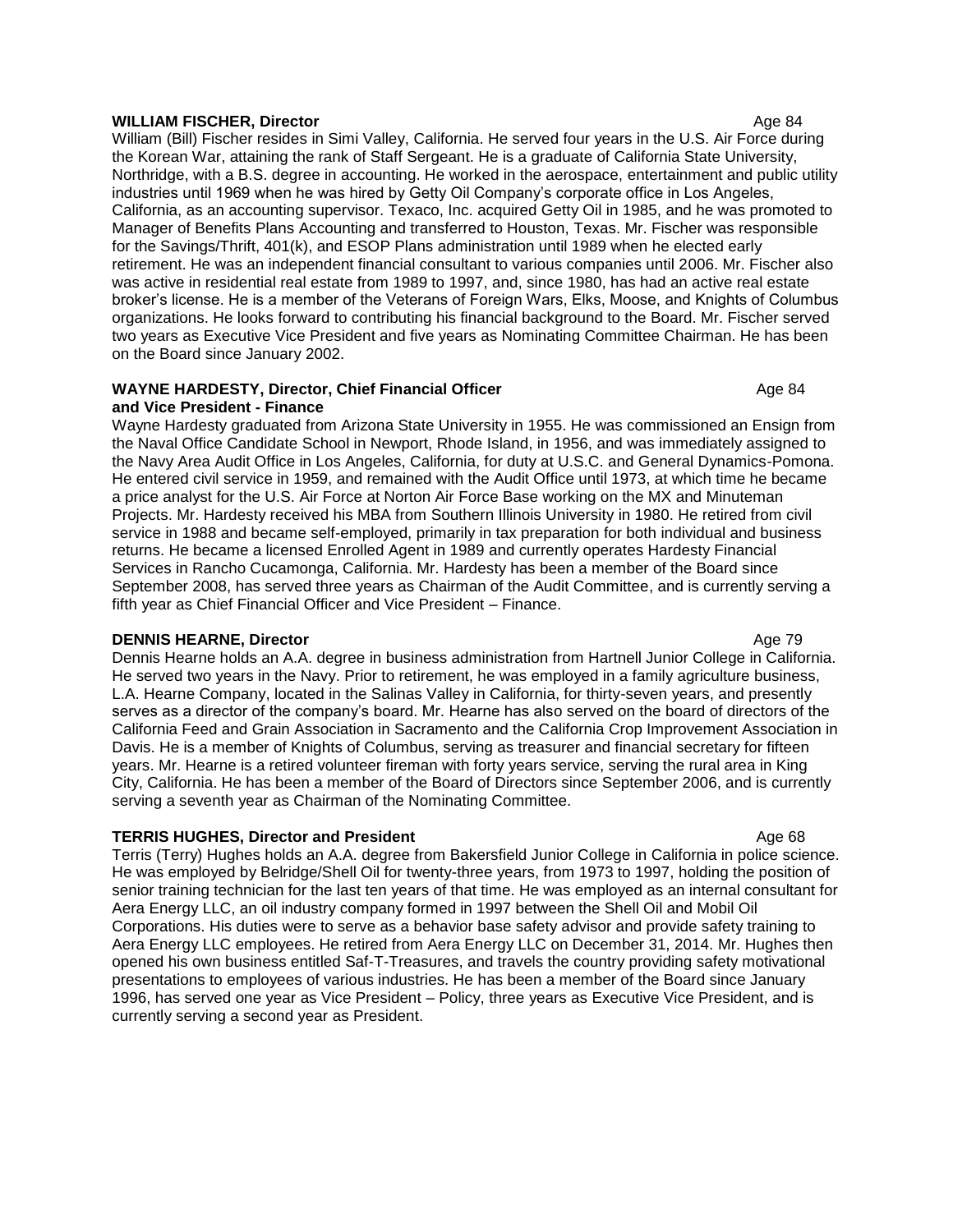#### **WILLIAM FISCHER, Director** Age 84

William (Bill) Fischer resides in Simi Valley, California. He served four years in the U.S. Air Force during the Korean War, attaining the rank of Staff Sergeant. He is a graduate of California State University, Northridge, with a B.S. degree in accounting. He worked in the aerospace, entertainment and public utility industries until 1969 when he was hired by Getty Oil Company's corporate office in Los Angeles, California, as an accounting supervisor. Texaco, Inc. acquired Getty Oil in 1985, and he was promoted to Manager of Benefits Plans Accounting and transferred to Houston, Texas. Mr. Fischer was responsible for the Savings/Thrift, 401(k), and ESOP Plans administration until 1989 when he elected early retirement. He was an independent financial consultant to various companies until 2006. Mr. Fischer also was active in residential real estate from 1989 to 1997, and, since 1980, has had an active real estate broker's license. He is a member of the Veterans of Foreign Wars, Elks, Moose, and Knights of Columbus organizations. He looks forward to contributing his financial background to the Board. Mr. Fischer served two years as Executive Vice President and five years as Nominating Committee Chairman. He has been on the Board since January 2002.

#### **WAYNE HARDESTY, Director, Chief Financial Officer** Ages 24 Age 84 **and Vice President - Finance**

Wayne Hardesty graduated from Arizona State University in 1955. He was commissioned an Ensign from the Naval Office Candidate School in Newport, Rhode Island, in 1956, and was immediately assigned to the Navy Area Audit Office in Los Angeles, California, for duty at U.S.C. and General Dynamics-Pomona. He entered civil service in 1959, and remained with the Audit Office until 1973, at which time he became a price analyst for the U.S. Air Force at Norton Air Force Base working on the MX and Minuteman Projects. Mr. Hardesty received his MBA from Southern Illinois University in 1980. He retired from civil service in 1988 and became self-employed, primarily in tax preparation for both individual and business returns. He became a licensed Enrolled Agent in 1989 and currently operates Hardesty Financial Services in Rancho Cucamonga, California. Mr. Hardesty has been a member of the Board since September 2008, has served three years as Chairman of the Audit Committee, and is currently serving a fifth year as Chief Financial Officer and Vice President – Finance.

## **DENNIS HEARNE, Director** Age 79

Dennis Hearne holds an A.A. degree in business administration from Hartnell Junior College in California. He served two years in the Navy. Prior to retirement, he was employed in a family agriculture business, L.A. Hearne Company, located in the Salinas Valley in California, for thirty-seven years, and presently serves as a director of the company's board. Mr. Hearne has also served on the board of directors of the California Feed and Grain Association in Sacramento and the California Crop Improvement Association in Davis. He is a member of Knights of Columbus, serving as treasurer and financial secretary for fifteen years. Mr. Hearne is a retired volunteer fireman with forty years service, serving the rural area in King City, California. He has been a member of the Board of Directors since September 2006, and is currently serving a seventh year as Chairman of the Nominating Committee.

# **TERRIS HUGHES, Director and President Age 68** Age 68

Terris (Terry) Hughes holds an A.A. degree from Bakersfield Junior College in California in police science. He was employed by Belridge/Shell Oil for twenty-three years, from 1973 to 1997, holding the position of senior training technician for the last ten years of that time. He was employed as an internal consultant for Aera Energy LLC, an oil industry company formed in 1997 between the Shell Oil and Mobil Oil Corporations. His duties were to serve as a behavior base safety advisor and provide safety training to Aera Energy LLC employees. He retired from Aera Energy LLC on December 31, 2014. Mr. Hughes then opened his own business entitled Saf-T-Treasures, and travels the country providing safety motivational presentations to employees of various industries. He has been a member of the Board since January 1996, has served one year as Vice President – Policy, three years as Executive Vice President, and is currently serving a second year as President.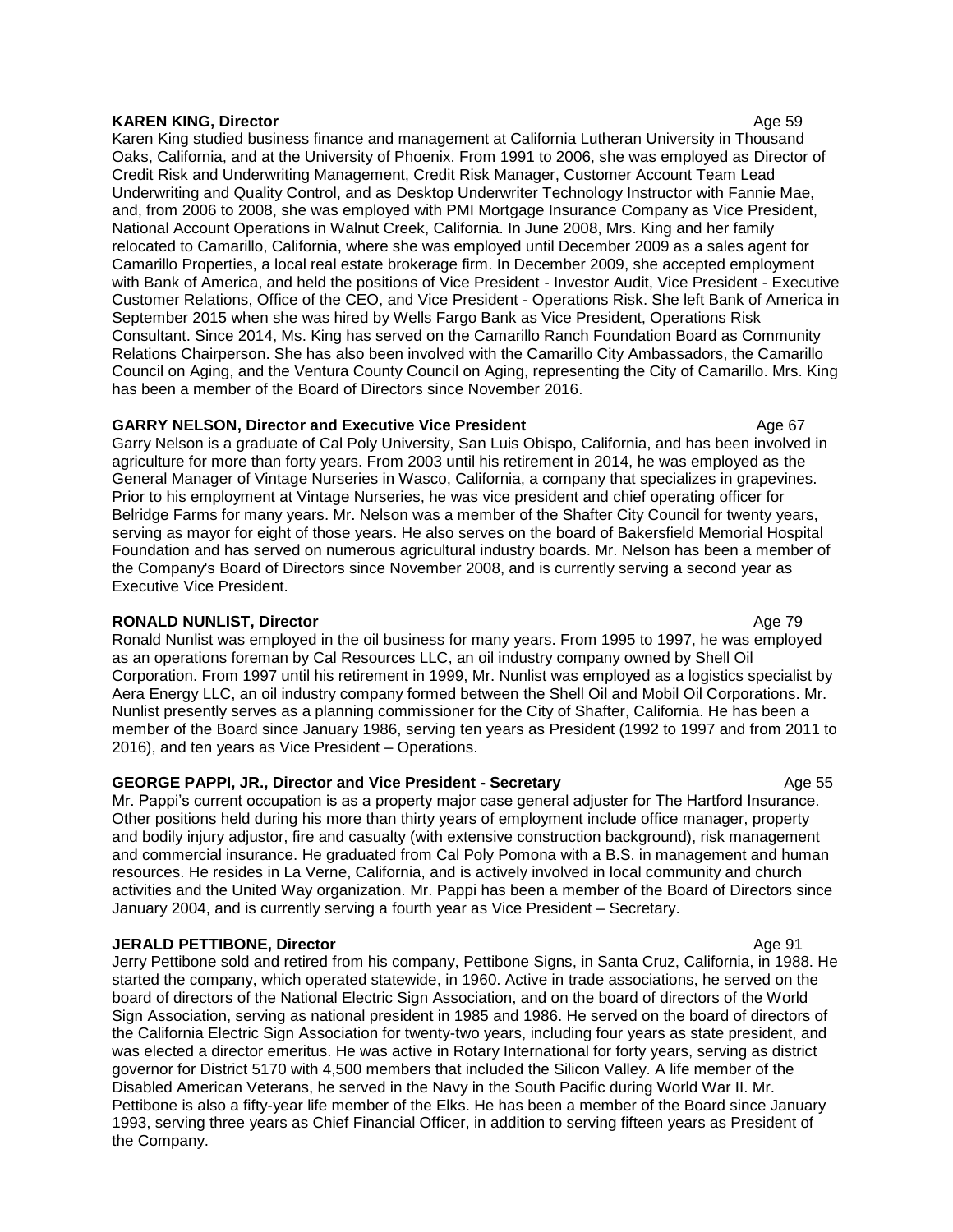#### **KAREN KING, Director** Age 59

Karen King studied business finance and management at California Lutheran University in Thousand Oaks, California, and at the University of Phoenix. From 1991 to 2006, she was employed as Director of Credit Risk and Underwriting Management, Credit Risk Manager, Customer Account Team Lead Underwriting and Quality Control, and as Desktop Underwriter Technology Instructor with Fannie Mae, and, from 2006 to 2008, she was employed with PMI Mortgage Insurance Company as Vice President, National Account Operations in Walnut Creek, California. In June 2008, Mrs. King and her family relocated to Camarillo, California, where she was employed until December 2009 as a sales agent for Camarillo Properties, a local real estate brokerage firm. In December 2009, she accepted employment with Bank of America, and held the positions of Vice President - Investor Audit, Vice President - Executive Customer Relations, Office of the CEO, and Vice President - Operations Risk. She left Bank of America in September 2015 when she was hired by Wells Fargo Bank as Vice President, Operations Risk Consultant. Since 2014, Ms. King has served on the Camarillo Ranch Foundation Board as Community Relations Chairperson. She has also been involved with the Camarillo City Ambassadors, the Camarillo Council on Aging, and the Ventura County Council on Aging, representing the City of Camarillo. Mrs. King has been a member of the Board of Directors since November 2016.

## **GARRY NELSON, Director and Executive Vice President Case Community Age 67**

Garry Nelson is a graduate of Cal Poly University, San Luis Obispo, California, and has been involved in agriculture for more than forty years. From 2003 until his retirement in 2014, he was employed as the General Manager of Vintage Nurseries in Wasco, California, a company that specializes in grapevines. Prior to his employment at Vintage Nurseries, he was vice president and chief operating officer for Belridge Farms for many years. Mr. Nelson was a member of the Shafter City Council for twenty years, serving as mayor for eight of those years. He also serves on the board of Bakersfield Memorial Hospital Foundation and has served on numerous agricultural industry boards. Mr. Nelson has been a member of the Company's Board of Directors since November 2008, and is currently serving a second year as Executive Vice President.

## **RONALD NUNLIST, Director Age 79**

Ronald Nunlist was employed in the oil business for many years. From 1995 to 1997, he was employed as an operations foreman by Cal Resources LLC, an oil industry company owned by Shell Oil Corporation. From 1997 until his retirement in 1999, Mr. Nunlist was employed as a logistics specialist by Aera Energy LLC, an oil industry company formed between the Shell Oil and Mobil Oil Corporations. Mr. Nunlist presently serves as a planning commissioner for the City of Shafter, California. He has been a member of the Board since January 1986, serving ten years as President (1992 to 1997 and from 2011 to 2016), and ten years as Vice President – Operations.

## **GEORGE PAPPI, JR., Director and Vice President - Secretary Ages 1968 Manual Age 55**

Mr. Pappi's current occupation is as a property major case general adjuster for The Hartford Insurance. Other positions held during his more than thirty years of employment include office manager, property and bodily injury adjustor, fire and casualty (with extensive construction background), risk management and commercial insurance. He graduated from Cal Poly Pomona with a B.S. in management and human resources. He resides in La Verne, California, and is actively involved in local community and church activities and the United Way organization. Mr. Pappi has been a member of the Board of Directors since January 2004, and is currently serving a fourth year as Vice President – Secretary.

#### **JERALD PETTIBONE, Director** Age 91 **Age 91**

Jerry Pettibone sold and retired from his company, Pettibone Signs, in Santa Cruz, California, in 1988. He started the company, which operated statewide, in 1960. Active in trade associations, he served on the board of directors of the National Electric Sign Association, and on the board of directors of the World Sign Association, serving as national president in 1985 and 1986. He served on the board of directors of the California Electric Sign Association for twenty-two years, including four years as state president, and was elected a director emeritus. He was active in Rotary International for forty years, serving as district governor for District 5170 with 4,500 members that included the Silicon Valley. A life member of the Disabled American Veterans, he served in the Navy in the South Pacific during World War II. Mr. Pettibone is also a fifty-year life member of the Elks. He has been a member of the Board since January 1993, serving three years as Chief Financial Officer, in addition to serving fifteen years as President of the Company.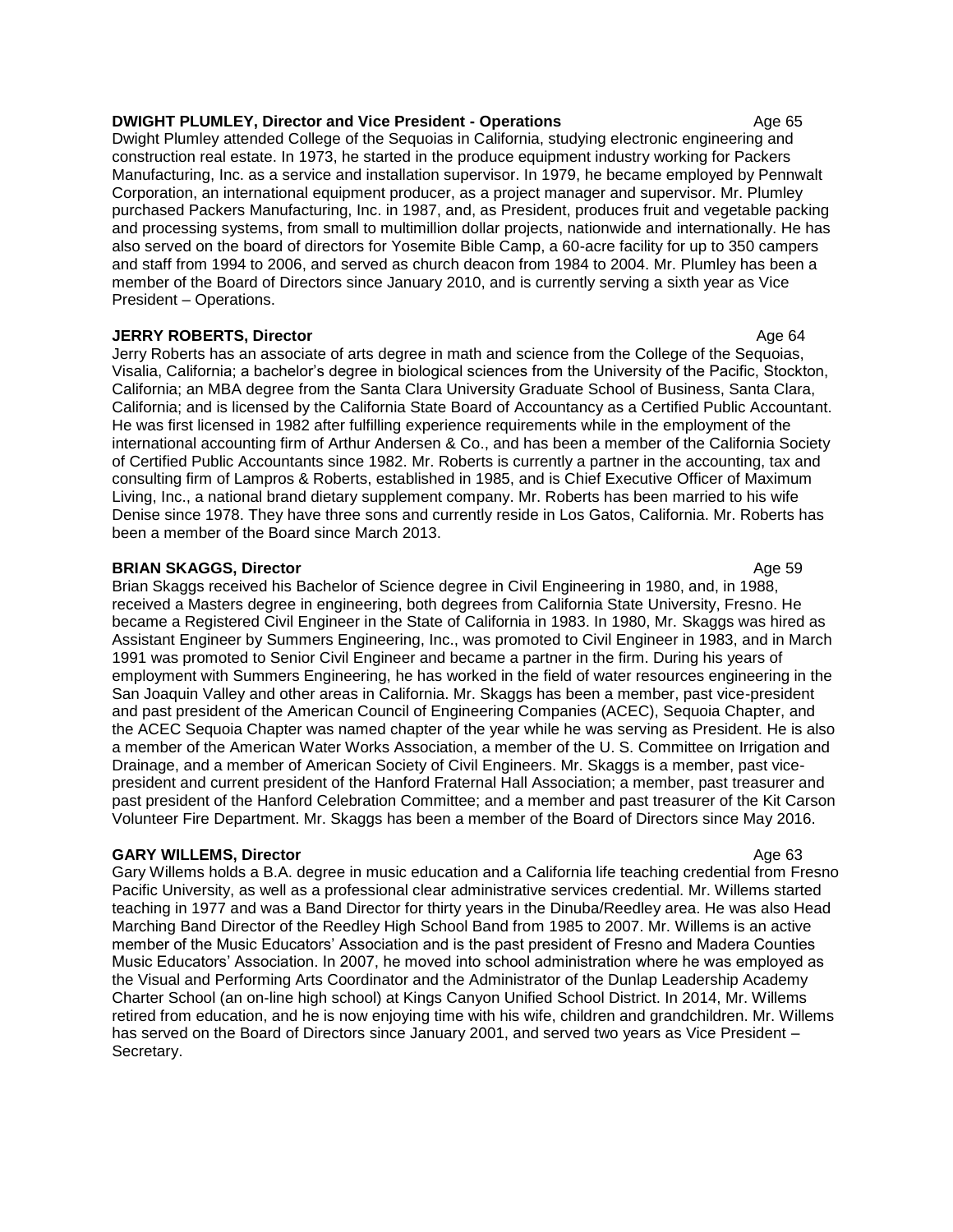#### **DWIGHT PLUMLEY, Director and Vice President - Operations Age 65 Age 65**

Dwight Plumley attended College of the Sequoias in California, studying electronic engineering and construction real estate. In 1973, he started in the produce equipment industry working for Packers Manufacturing, Inc. as a service and installation supervisor. In 1979, he became employed by Pennwalt Corporation, an international equipment producer, as a project manager and supervisor. Mr. Plumley purchased Packers Manufacturing, Inc. in 1987, and, as President, produces fruit and vegetable packing and processing systems, from small to multimillion dollar projects, nationwide and internationally. He has also served on the board of directors for Yosemite Bible Camp, a 60-acre facility for up to 350 campers and staff from 1994 to 2006, and served as church deacon from 1984 to 2004. Mr. Plumley has been a member of the Board of Directors since January 2010, and is currently serving a sixth year as Vice President – Operations.

#### **JERRY ROBERTS, Director** Age 64

Jerry Roberts has an associate of arts degree in math and science from the College of the Sequoias, Visalia, California; a bachelor's degree in biological sciences from the University of the Pacific, Stockton, California; an MBA degree from the Santa Clara University Graduate School of Business, Santa Clara, California; and is licensed by the California State Board of Accountancy as a Certified Public Accountant. He was first licensed in 1982 after fulfilling experience requirements while in the employment of the international accounting firm of Arthur Andersen & Co., and has been a member of the California Society of Certified Public Accountants since 1982. Mr. Roberts is currently a partner in the accounting, tax and consulting firm of Lampros & Roberts, established in 1985, and is Chief Executive Officer of Maximum Living, Inc., a national brand dietary supplement company. Mr. Roberts has been married to his wife Denise since 1978. They have three sons and currently reside in Los Gatos, California. Mr. Roberts has been a member of the Board since March 2013.

## **BRIAN SKAGGS, Director** Age 59

Brian Skaggs received his Bachelor of Science degree in Civil Engineering in 1980, and, in 1988, received a Masters degree in engineering, both degrees from California State University, Fresno. He became a Registered Civil Engineer in the State of California in 1983. In 1980, Mr. Skaggs was hired as Assistant Engineer by Summers Engineering, Inc., was promoted to Civil Engineer in 1983, and in March 1991 was promoted to Senior Civil Engineer and became a partner in the firm. During his years of employment with Summers Engineering, he has worked in the field of water resources engineering in the San Joaquin Valley and other areas in California. Mr. Skaggs has been a member, past vice-president and past president of the American Council of Engineering Companies (ACEC), Sequoia Chapter, and the ACEC Sequoia Chapter was named chapter of the year while he was serving as President. He is also a member of the American Water Works Association, a member of the U. S. Committee on Irrigation and Drainage, and a member of American Society of Civil Engineers. Mr. Skaggs is a member, past vicepresident and current president of the Hanford Fraternal Hall Association; a member, past treasurer and past president of the Hanford Celebration Committee; and a member and past treasurer of the Kit Carson Volunteer Fire Department. Mr. Skaggs has been a member of the Board of Directors since May 2016.

## **GARY WILLEMS, Director Age 63 CONSIDERING Age 63 Age 63**

Gary Willems holds a B.A. degree in music education and a California life teaching credential from Fresno Pacific University, as well as a professional clear administrative services credential. Mr. Willems started teaching in 1977 and was a Band Director for thirty years in the Dinuba/Reedley area. He was also Head Marching Band Director of the Reedley High School Band from 1985 to 2007. Mr. Willems is an active member of the Music Educators' Association and is the past president of Fresno and Madera Counties Music Educators' Association. In 2007, he moved into school administration where he was employed as the Visual and Performing Arts Coordinator and the Administrator of the Dunlap Leadership Academy Charter School (an on-line high school) at Kings Canyon Unified School District. In 2014, Mr. Willems retired from education, and he is now enjoying time with his wife, children and grandchildren. Mr. Willems has served on the Board of Directors since January 2001, and served two years as Vice President -Secretary.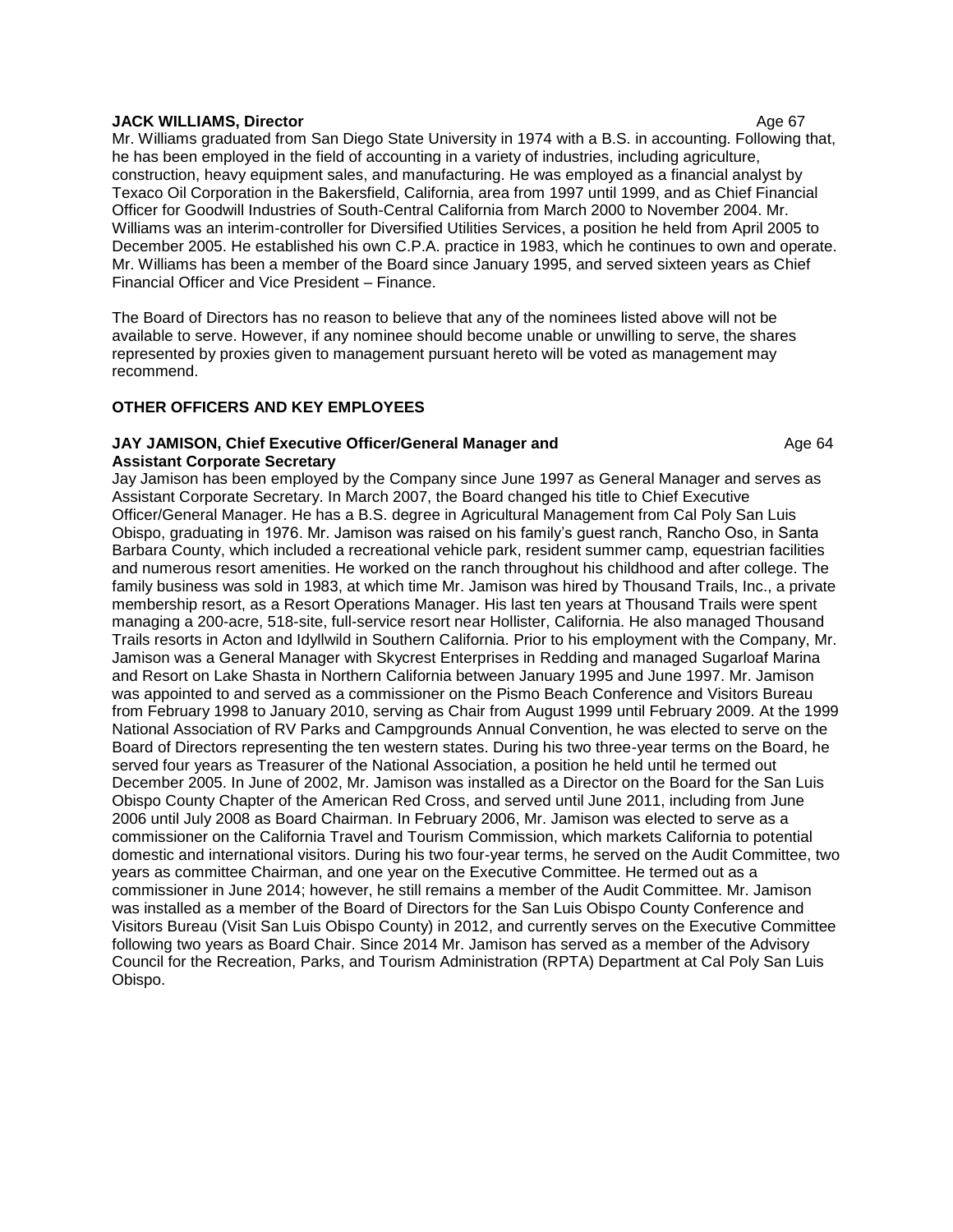#### **JACK WILLIAMS, Director** Age 67

Mr. Williams graduated from San Diego State University in 1974 with a B.S. in accounting. Following that, he has been employed in the field of accounting in a variety of industries, including agriculture, construction, heavy equipment sales, and manufacturing. He was employed as a financial analyst by Texaco Oil Corporation in the Bakersfield, California, area from 1997 until 1999, and as Chief Financial Officer for Goodwill Industries of South-Central California from March 2000 to November 2004. Mr. Williams was an interim-controller for Diversified Utilities Services, a position he held from April 2005 to December 2005. He established his own C.P.A. practice in 1983, which he continues to own and operate. Mr. Williams has been a member of the Board since January 1995, and served sixteen years as Chief Financial Officer and Vice President – Finance.

The Board of Directors has no reason to believe that any of the nominees listed above will not be available to serve. However, if any nominee should become unable or unwilling to serve, the shares represented by proxies given to management pursuant hereto will be voted as management may recommend.

## **OTHER OFFICERS AND KEY EMPLOYEES**

#### **JAY JAMISON, Chief Executive Officer/General Manager and Age 64** Age 64 **Assistant Corporate Secretary**

Jay Jamison has been employed by the Company since June 1997 as General Manager and serves as Assistant Corporate Secretary. In March 2007, the Board changed his title to Chief Executive Officer/General Manager. He has a B.S. degree in Agricultural Management from Cal Poly San Luis Obispo, graduating in 1976. Mr. Jamison was raised on his family's guest ranch, Rancho Oso, in Santa Barbara County, which included a recreational vehicle park, resident summer camp, equestrian facilities and numerous resort amenities. He worked on the ranch throughout his childhood and after college. The family business was sold in 1983, at which time Mr. Jamison was hired by Thousand Trails, Inc., a private membership resort, as a Resort Operations Manager. His last ten years at Thousand Trails were spent managing a 200-acre, 518-site, full-service resort near Hollister, California. He also managed Thousand Trails resorts in Acton and Idyllwild in Southern California. Prior to his employment with the Company, Mr. Jamison was a General Manager with Skycrest Enterprises in Redding and managed Sugarloaf Marina and Resort on Lake Shasta in Northern California between January 1995 and June 1997. Mr. Jamison was appointed to and served as a commissioner on the Pismo Beach Conference and Visitors Bureau from February 1998 to January 2010, serving as Chair from August 1999 until February 2009. At the 1999 National Association of RV Parks and Campgrounds Annual Convention, he was elected to serve on the Board of Directors representing the ten western states. During his two three-year terms on the Board, he served four years as Treasurer of the National Association, a position he held until he termed out December 2005. In June of 2002, Mr. Jamison was installed as a Director on the Board for the San Luis Obispo County Chapter of the American Red Cross, and served until June 2011, including from June 2006 until July 2008 as Board Chairman. In February 2006, Mr. Jamison was elected to serve as a commissioner on the California Travel and Tourism Commission, which markets California to potential domestic and international visitors. During his two four-year terms, he served on the Audit Committee, two years as committee Chairman, and one year on the Executive Committee. He termed out as a commissioner in June 2014; however, he still remains a member of the Audit Committee. Mr. Jamison was installed as a member of the Board of Directors for the San Luis Obispo County Conference and Visitors Bureau (Visit San Luis Obispo County) in 2012, and currently serves on the Executive Committee following two years as Board Chair. Since 2014 Mr. Jamison has served as a member of the Advisory Council for the Recreation, Parks, and Tourism Administration (RPTA) Department at Cal Poly San Luis Obispo.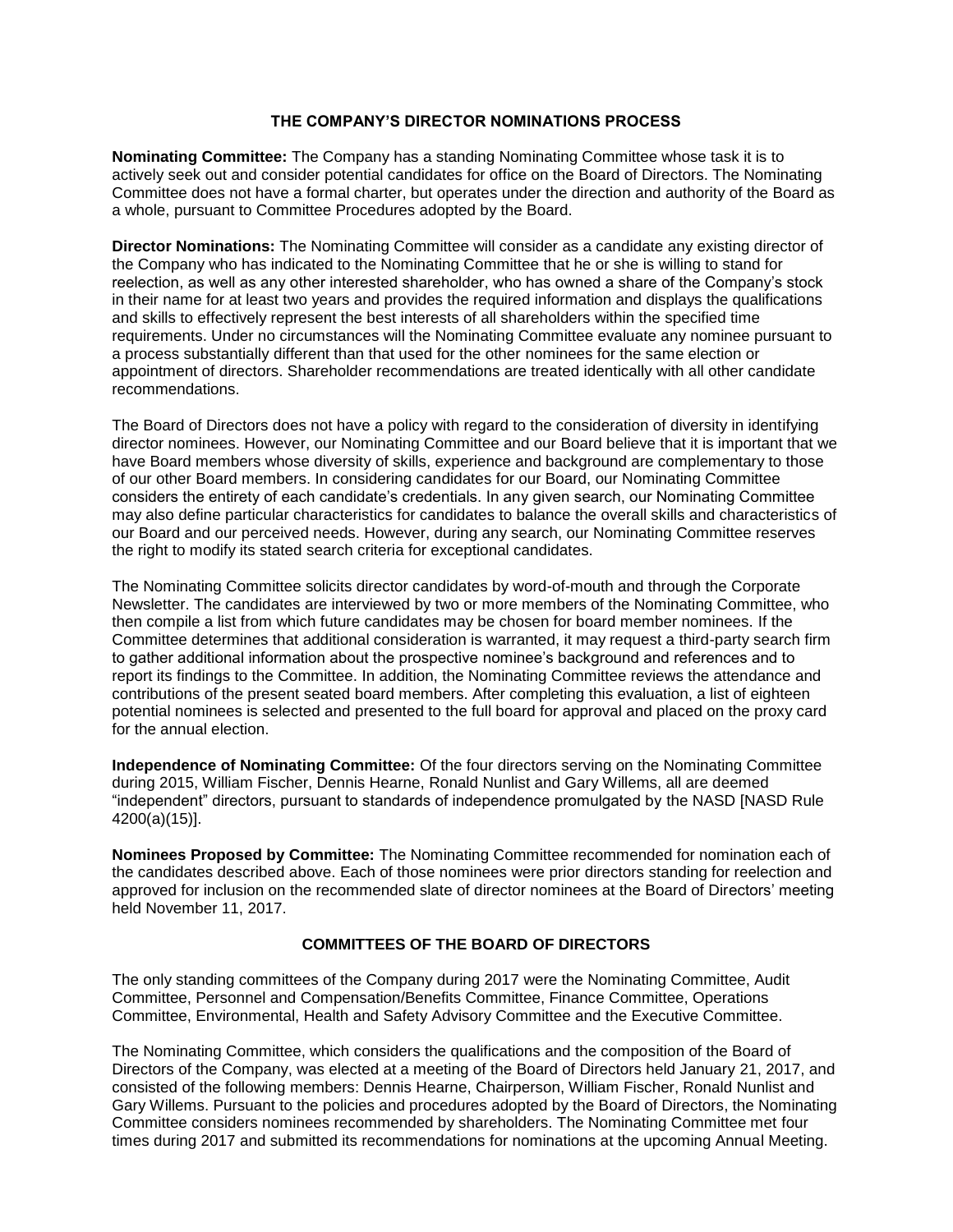## **THE COMPANY'S DIRECTOR NOMINATIONS PROCESS**

**Nominating Committee:** The Company has a standing Nominating Committee whose task it is to actively seek out and consider potential candidates for office on the Board of Directors. The Nominating Committee does not have a formal charter, but operates under the direction and authority of the Board as a whole, pursuant to Committee Procedures adopted by the Board.

**Director Nominations:** The Nominating Committee will consider as a candidate any existing director of the Company who has indicated to the Nominating Committee that he or she is willing to stand for reelection, as well as any other interested shareholder, who has owned a share of the Company's stock in their name for at least two years and provides the required information and displays the qualifications and skills to effectively represent the best interests of all shareholders within the specified time requirements. Under no circumstances will the Nominating Committee evaluate any nominee pursuant to a process substantially different than that used for the other nominees for the same election or appointment of directors. Shareholder recommendations are treated identically with all other candidate recommendations.

The Board of Directors does not have a policy with regard to the consideration of diversity in identifying director nominees. However, our Nominating Committee and our Board believe that it is important that we have Board members whose diversity of skills, experience and background are complementary to those of our other Board members. In considering candidates for our Board, our Nominating Committee considers the entirety of each candidate's credentials. In any given search, our Nominating Committee may also define particular characteristics for candidates to balance the overall skills and characteristics of our Board and our perceived needs. However, during any search, our Nominating Committee reserves the right to modify its stated search criteria for exceptional candidates.

The Nominating Committee solicits director candidates by word-of-mouth and through the Corporate Newsletter. The candidates are interviewed by two or more members of the Nominating Committee, who then compile a list from which future candidates may be chosen for board member nominees. If the Committee determines that additional consideration is warranted, it may request a third-party search firm to gather additional information about the prospective nominee's background and references and to report its findings to the Committee. In addition, the Nominating Committee reviews the attendance and contributions of the present seated board members. After completing this evaluation, a list of eighteen potential nominees is selected and presented to the full board for approval and placed on the proxy card for the annual election.

**Independence of Nominating Committee:** Of the four directors serving on the Nominating Committee during 2015, William Fischer, Dennis Hearne, Ronald Nunlist and Gary Willems, all are deemed "independent" directors, pursuant to standards of independence promulgated by the NASD [NASD Rule 4200(a)(15)].

**Nominees Proposed by Committee:** The Nominating Committee recommended for nomination each of the candidates described above. Each of those nominees were prior directors standing for reelection and approved for inclusion on the recommended slate of director nominees at the Board of Directors' meeting held November 11, 2017.

# **COMMITTEES OF THE BOARD OF DIRECTORS**

The only standing committees of the Company during 2017 were the Nominating Committee, Audit Committee, Personnel and Compensation/Benefits Committee, Finance Committee, Operations Committee, Environmental, Health and Safety Advisory Committee and the Executive Committee.

The Nominating Committee, which considers the qualifications and the composition of the Board of Directors of the Company, was elected at a meeting of the Board of Directors held January 21, 2017, and consisted of the following members: Dennis Hearne, Chairperson, William Fischer, Ronald Nunlist and Gary Willems. Pursuant to the policies and procedures adopted by the Board of Directors, the Nominating Committee considers nominees recommended by shareholders. The Nominating Committee met four times during 2017 and submitted its recommendations for nominations at the upcoming Annual Meeting.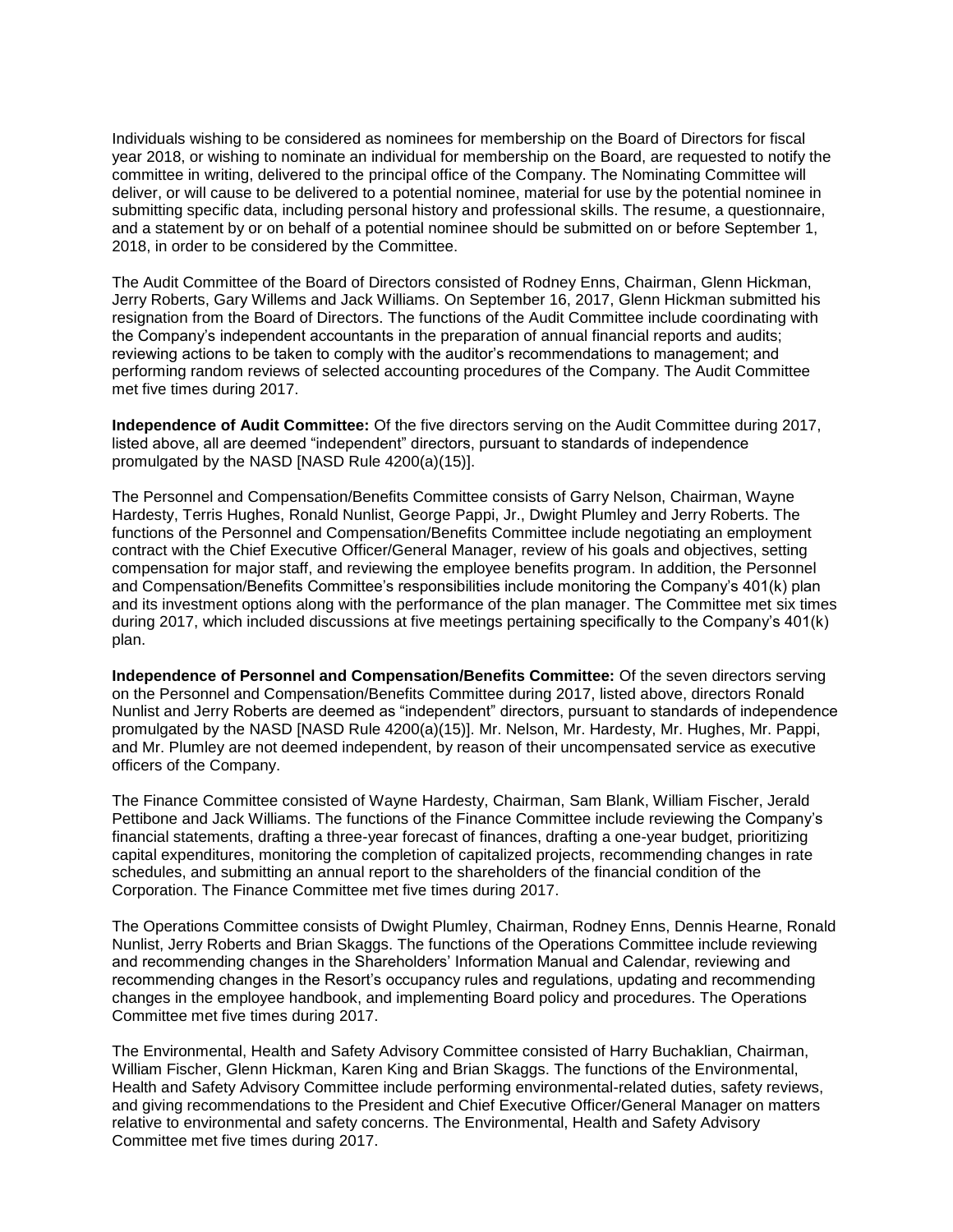Individuals wishing to be considered as nominees for membership on the Board of Directors for fiscal year 2018, or wishing to nominate an individual for membership on the Board, are requested to notify the committee in writing, delivered to the principal office of the Company. The Nominating Committee will deliver, or will cause to be delivered to a potential nominee, material for use by the potential nominee in submitting specific data, including personal history and professional skills. The resume, a questionnaire, and a statement by or on behalf of a potential nominee should be submitted on or before September 1, 2018, in order to be considered by the Committee.

The Audit Committee of the Board of Directors consisted of Rodney Enns, Chairman, Glenn Hickman, Jerry Roberts, Gary Willems and Jack Williams. On September 16, 2017, Glenn Hickman submitted his resignation from the Board of Directors. The functions of the Audit Committee include coordinating with the Company's independent accountants in the preparation of annual financial reports and audits; reviewing actions to be taken to comply with the auditor's recommendations to management; and performing random reviews of selected accounting procedures of the Company. The Audit Committee met five times during 2017.

**Independence of Audit Committee:** Of the five directors serving on the Audit Committee during 2017, listed above, all are deemed "independent" directors, pursuant to standards of independence promulgated by the NASD [NASD Rule 4200(a)(15)].

The Personnel and Compensation/Benefits Committee consists of Garry Nelson, Chairman, Wayne Hardesty, Terris Hughes, Ronald Nunlist, George Pappi, Jr., Dwight Plumley and Jerry Roberts. The functions of the Personnel and Compensation/Benefits Committee include negotiating an employment contract with the Chief Executive Officer/General Manager, review of his goals and objectives, setting compensation for major staff, and reviewing the employee benefits program. In addition, the Personnel and Compensation/Benefits Committee's responsibilities include monitoring the Company's 401(k) plan and its investment options along with the performance of the plan manager. The Committee met six times during 2017, which included discussions at five meetings pertaining specifically to the Company's 401(k) plan.

**Independence of Personnel and Compensation/Benefits Committee:** Of the seven directors serving on the Personnel and Compensation/Benefits Committee during 2017, listed above, directors Ronald Nunlist and Jerry Roberts are deemed as "independent" directors, pursuant to standards of independence promulgated by the NASD [NASD Rule 4200(a)(15)]. Mr. Nelson, Mr. Hardesty, Mr. Hughes, Mr. Pappi, and Mr. Plumley are not deemed independent, by reason of their uncompensated service as executive officers of the Company.

The Finance Committee consisted of Wayne Hardesty, Chairman, Sam Blank, William Fischer, Jerald Pettibone and Jack Williams. The functions of the Finance Committee include reviewing the Company's financial statements, drafting a three-year forecast of finances, drafting a one-year budget, prioritizing capital expenditures, monitoring the completion of capitalized projects, recommending changes in rate schedules, and submitting an annual report to the shareholders of the financial condition of the Corporation. The Finance Committee met five times during 2017.

The Operations Committee consists of Dwight Plumley, Chairman, Rodney Enns, Dennis Hearne, Ronald Nunlist, Jerry Roberts and Brian Skaggs. The functions of the Operations Committee include reviewing and recommending changes in the Shareholders' Information Manual and Calendar, reviewing and recommending changes in the Resort's occupancy rules and regulations, updating and recommending changes in the employee handbook, and implementing Board policy and procedures. The Operations Committee met five times during 2017.

The Environmental, Health and Safety Advisory Committee consisted of Harry Buchaklian, Chairman, William Fischer, Glenn Hickman, Karen King and Brian Skaggs. The functions of the Environmental, Health and Safety Advisory Committee include performing environmental-related duties, safety reviews, and giving recommendations to the President and Chief Executive Officer/General Manager on matters relative to environmental and safety concerns. The Environmental, Health and Safety Advisory Committee met five times during 2017.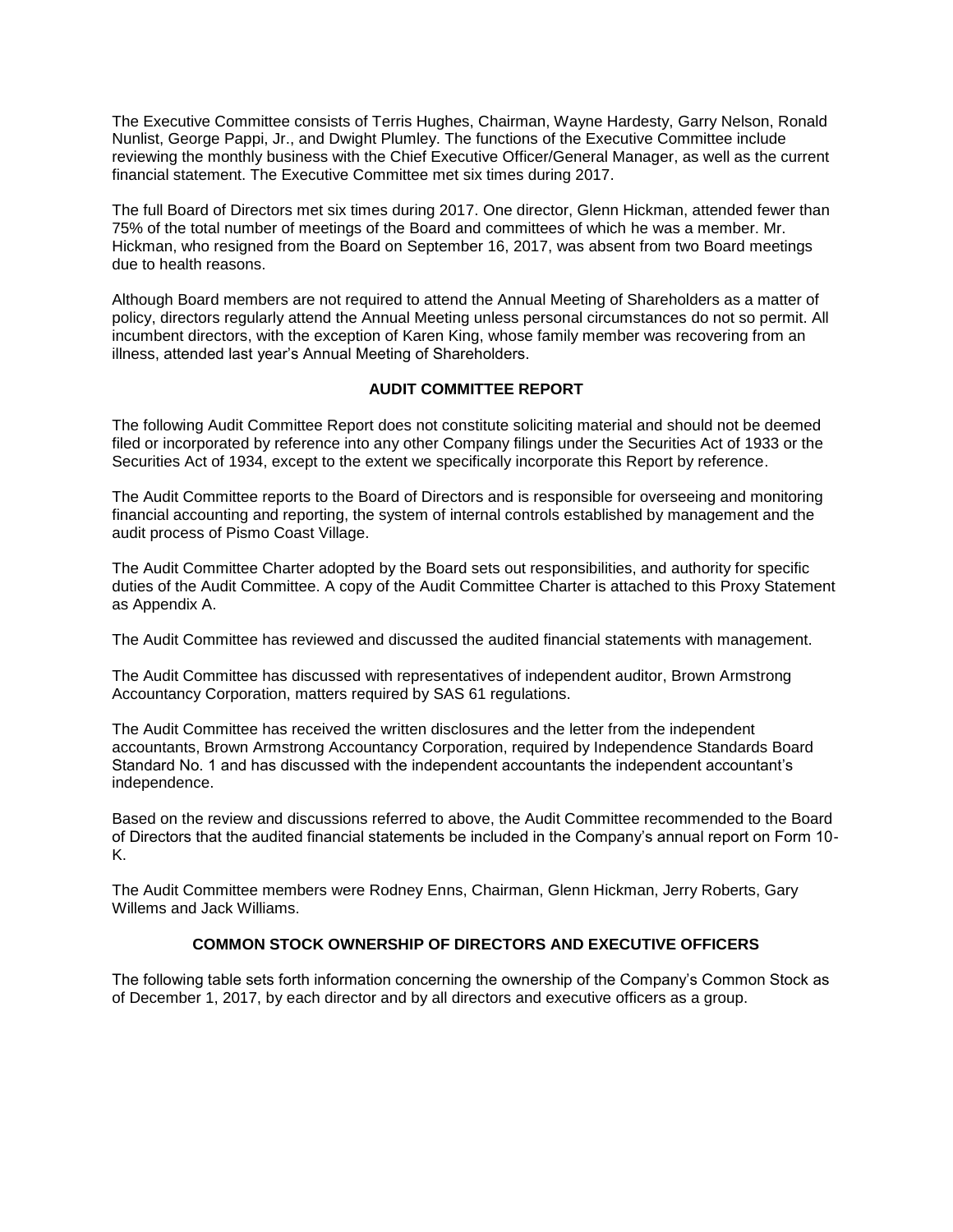The Executive Committee consists of Terris Hughes, Chairman, Wayne Hardesty, Garry Nelson, Ronald Nunlist, George Pappi, Jr., and Dwight Plumley. The functions of the Executive Committee include reviewing the monthly business with the Chief Executive Officer/General Manager, as well as the current financial statement. The Executive Committee met six times during 2017.

The full Board of Directors met six times during 2017. One director, Glenn Hickman, attended fewer than 75% of the total number of meetings of the Board and committees of which he was a member. Mr. Hickman, who resigned from the Board on September 16, 2017, was absent from two Board meetings due to health reasons.

Although Board members are not required to attend the Annual Meeting of Shareholders as a matter of policy, directors regularly attend the Annual Meeting unless personal circumstances do not so permit. All incumbent directors, with the exception of Karen King, whose family member was recovering from an illness, attended last year's Annual Meeting of Shareholders.

## **AUDIT COMMITTEE REPORT**

The following Audit Committee Report does not constitute soliciting material and should not be deemed filed or incorporated by reference into any other Company filings under the Securities Act of 1933 or the Securities Act of 1934, except to the extent we specifically incorporate this Report by reference.

The Audit Committee reports to the Board of Directors and is responsible for overseeing and monitoring financial accounting and reporting, the system of internal controls established by management and the audit process of Pismo Coast Village.

The Audit Committee Charter adopted by the Board sets out responsibilities, and authority for specific duties of the Audit Committee. A copy of the Audit Committee Charter is attached to this Proxy Statement as Appendix A.

The Audit Committee has reviewed and discussed the audited financial statements with management.

The Audit Committee has discussed with representatives of independent auditor, Brown Armstrong Accountancy Corporation, matters required by SAS 61 regulations.

The Audit Committee has received the written disclosures and the letter from the independent accountants, Brown Armstrong Accountancy Corporation, required by Independence Standards Board Standard No. 1 and has discussed with the independent accountants the independent accountant's independence.

Based on the review and discussions referred to above, the Audit Committee recommended to the Board of Directors that the audited financial statements be included in the Company's annual report on Form 10- K.

The Audit Committee members were Rodney Enns, Chairman, Glenn Hickman, Jerry Roberts, Gary Willems and Jack Williams.

# **COMMON STOCK OWNERSHIP OF DIRECTORS AND EXECUTIVE OFFICERS**

The following table sets forth information concerning the ownership of the Company's Common Stock as of December 1, 2017, by each director and by all directors and executive officers as a group.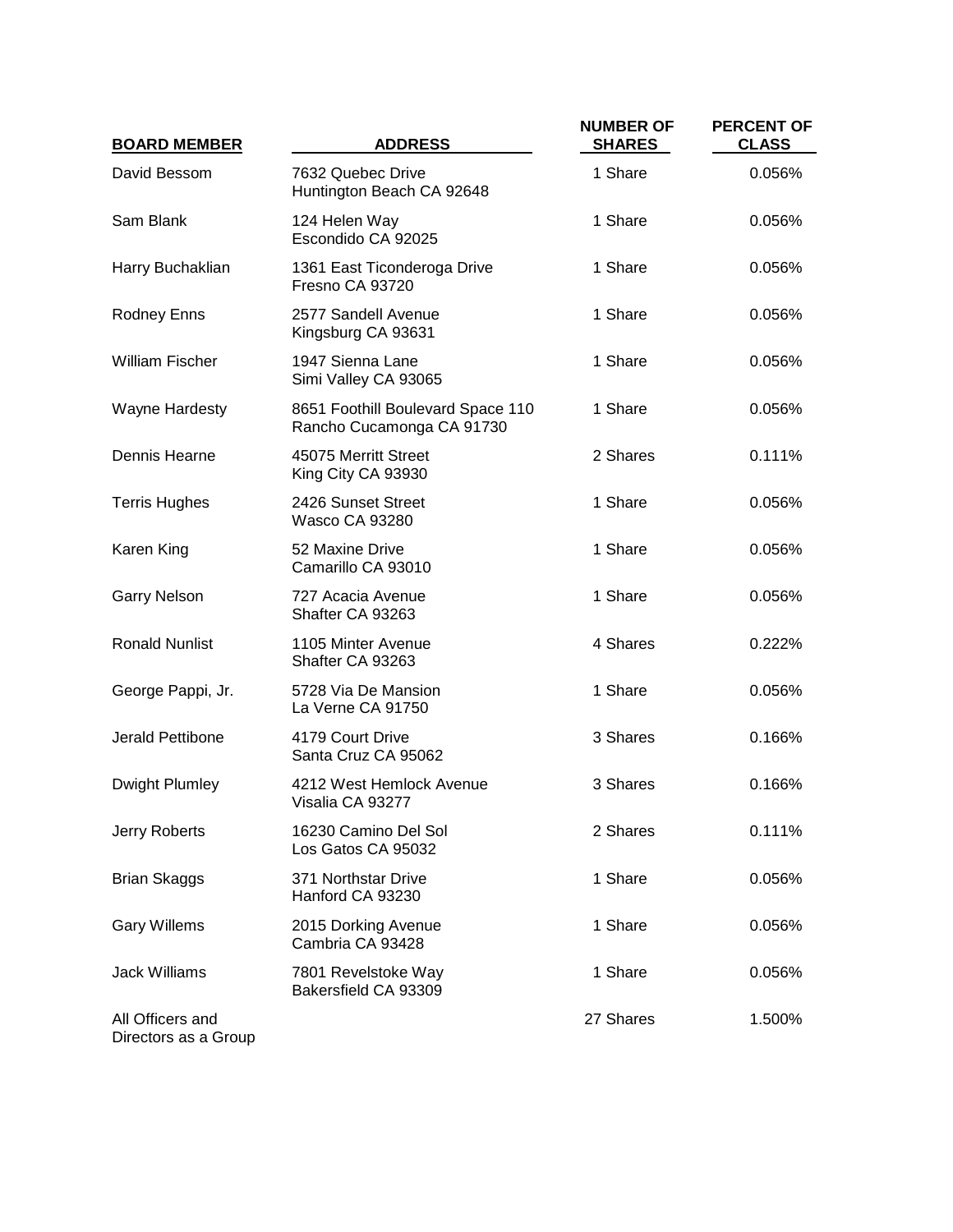| <b>BOARD MEMBER</b>                      | <b>ADDRESS</b>                                                 | <b>NUMBER OF</b><br><b>SHARES</b> | <b>PERCENT OF</b><br><b>CLASS</b> |
|------------------------------------------|----------------------------------------------------------------|-----------------------------------|-----------------------------------|
| David Bessom                             | 7632 Quebec Drive<br>Huntington Beach CA 92648                 | 1 Share                           | 0.056%                            |
| Sam Blank                                | 124 Helen Way<br>Escondido CA 92025                            | 1 Share                           | 0.056%                            |
| Harry Buchaklian                         | 1361 East Ticonderoga Drive<br>Fresno CA 93720                 | 1 Share                           | 0.056%                            |
| <b>Rodney Enns</b>                       | 2577 Sandell Avenue<br>Kingsburg CA 93631                      | 1 Share                           | 0.056%                            |
| <b>William Fischer</b>                   | 1947 Sienna Lane<br>Simi Valley CA 93065                       | 1 Share                           | 0.056%                            |
| <b>Wayne Hardesty</b>                    | 8651 Foothill Boulevard Space 110<br>Rancho Cucamonga CA 91730 | 1 Share                           | 0.056%                            |
| Dennis Hearne                            | 45075 Merritt Street<br>King City CA 93930                     | 2 Shares                          | 0.111%                            |
| <b>Terris Hughes</b>                     | 2426 Sunset Street<br><b>Wasco CA 93280</b>                    | 1 Share                           | 0.056%                            |
| Karen King                               | 52 Maxine Drive<br>Camarillo CA 93010                          | 1 Share                           | 0.056%                            |
| <b>Garry Nelson</b>                      | 727 Acacia Avenue<br>Shafter CA 93263                          | 1 Share                           | 0.056%                            |
| <b>Ronald Nunlist</b>                    | 1105 Minter Avenue<br>Shafter CA 93263                         | 4 Shares                          | 0.222%                            |
| George Pappi, Jr.                        | 5728 Via De Mansion<br>La Verne CA 91750                       | 1 Share                           | 0.056%                            |
| Jerald Pettibone                         | 4179 Court Drive<br>Santa Cruz CA 95062                        | 3 Shares                          | 0.166%                            |
| Dwight Plumley                           | 4212 West Hemlock Avenue<br>Visalia CA 93277                   | 3 Shares                          | 0.166%                            |
| Jerry Roberts                            | 16230 Camino Del Sol<br>Los Gatos CA 95032                     | 2 Shares                          | 0.111%                            |
| <b>Brian Skaggs</b>                      | 371 Northstar Drive<br>Hanford CA 93230                        | 1 Share                           | 0.056%                            |
| <b>Gary Willems</b>                      | 2015 Dorking Avenue<br>Cambria CA 93428                        | 1 Share                           | 0.056%                            |
| <b>Jack Williams</b>                     | 7801 Revelstoke Way<br>Bakersfield CA 93309                    | 1 Share                           | 0.056%                            |
| All Officers and<br>Directors as a Group |                                                                | 27 Shares                         | 1.500%                            |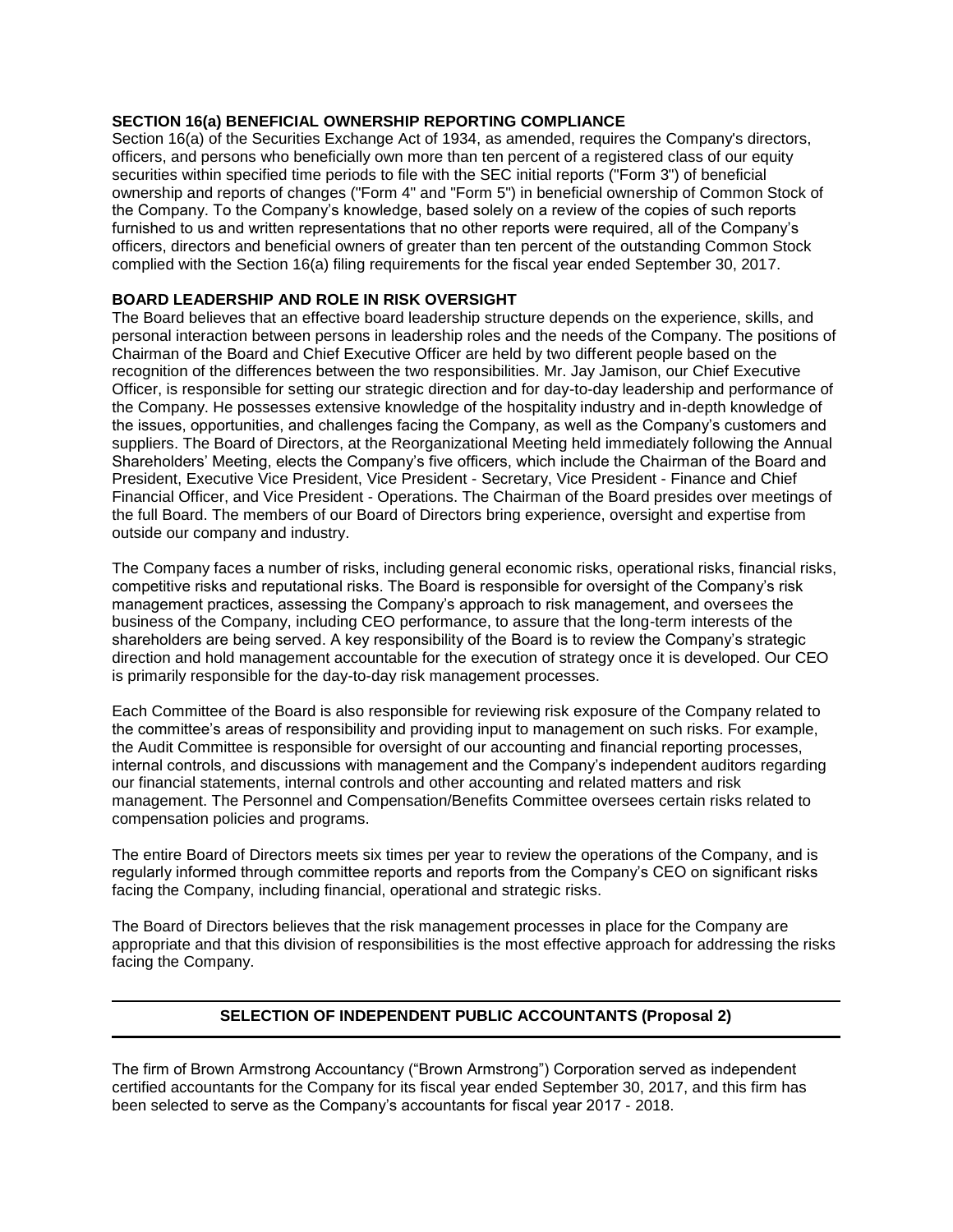## **SECTION 16(a) BENEFICIAL OWNERSHIP REPORTING COMPLIANCE**

Section 16(a) of the Securities Exchange Act of 1934, as amended, requires the Company's directors, officers, and persons who beneficially own more than ten percent of a registered class of our equity securities within specified time periods to file with the SEC initial reports ("Form 3") of beneficial ownership and reports of changes ("Form 4" and "Form 5") in beneficial ownership of Common Stock of the Company. To the Company's knowledge, based solely on a review of the copies of such reports furnished to us and written representations that no other reports were required, all of the Company's officers, directors and beneficial owners of greater than ten percent of the outstanding Common Stock complied with the Section 16(a) filing requirements for the fiscal year ended September 30, 2017.

# **BOARD LEADERSHIP AND ROLE IN RISK OVERSIGHT**

The Board believes that an effective board leadership structure depends on the experience, skills, and personal interaction between persons in leadership roles and the needs of the Company. The positions of Chairman of the Board and Chief Executive Officer are held by two different people based on the recognition of the differences between the two responsibilities. Mr. Jay Jamison, our Chief Executive Officer, is responsible for setting our strategic direction and for day-to-day leadership and performance of the Company. He possesses extensive knowledge of the hospitality industry and in-depth knowledge of the issues, opportunities, and challenges facing the Company, as well as the Company's customers and suppliers. The Board of Directors, at the Reorganizational Meeting held immediately following the Annual Shareholders' Meeting, elects the Company's five officers, which include the Chairman of the Board and President, Executive Vice President, Vice President - Secretary, Vice President - Finance and Chief Financial Officer, and Vice President - Operations. The Chairman of the Board presides over meetings of the full Board. The members of our Board of Directors bring experience, oversight and expertise from outside our company and industry.

The Company faces a number of risks, including general economic risks, operational risks, financial risks, competitive risks and reputational risks. The Board is responsible for oversight of the Company's risk management practices, assessing the Company's approach to risk management, and oversees the business of the Company, including CEO performance, to assure that the long-term interests of the shareholders are being served. A key responsibility of the Board is to review the Company's strategic direction and hold management accountable for the execution of strategy once it is developed. Our CEO is primarily responsible for the day-to-day risk management processes.

Each Committee of the Board is also responsible for reviewing risk exposure of the Company related to the committee's areas of responsibility and providing input to management on such risks. For example, the Audit Committee is responsible for oversight of our accounting and financial reporting processes, internal controls, and discussions with management and the Company's independent auditors regarding our financial statements, internal controls and other accounting and related matters and risk management. The Personnel and Compensation/Benefits Committee oversees certain risks related to compensation policies and programs.

The entire Board of Directors meets six times per year to review the operations of the Company, and is regularly informed through committee reports and reports from the Company's CEO on significant risks facing the Company, including financial, operational and strategic risks.

The Board of Directors believes that the risk management processes in place for the Company are appropriate and that this division of responsibilities is the most effective approach for addressing the risks facing the Company.

# **SELECTION OF INDEPENDENT PUBLIC ACCOUNTANTS (Proposal 2)**

The firm of Brown Armstrong Accountancy ("Brown Armstrong") Corporation served as independent certified accountants for the Company for its fiscal year ended September 30, 2017, and this firm has been selected to serve as the Company's accountants for fiscal year 2017 - 2018.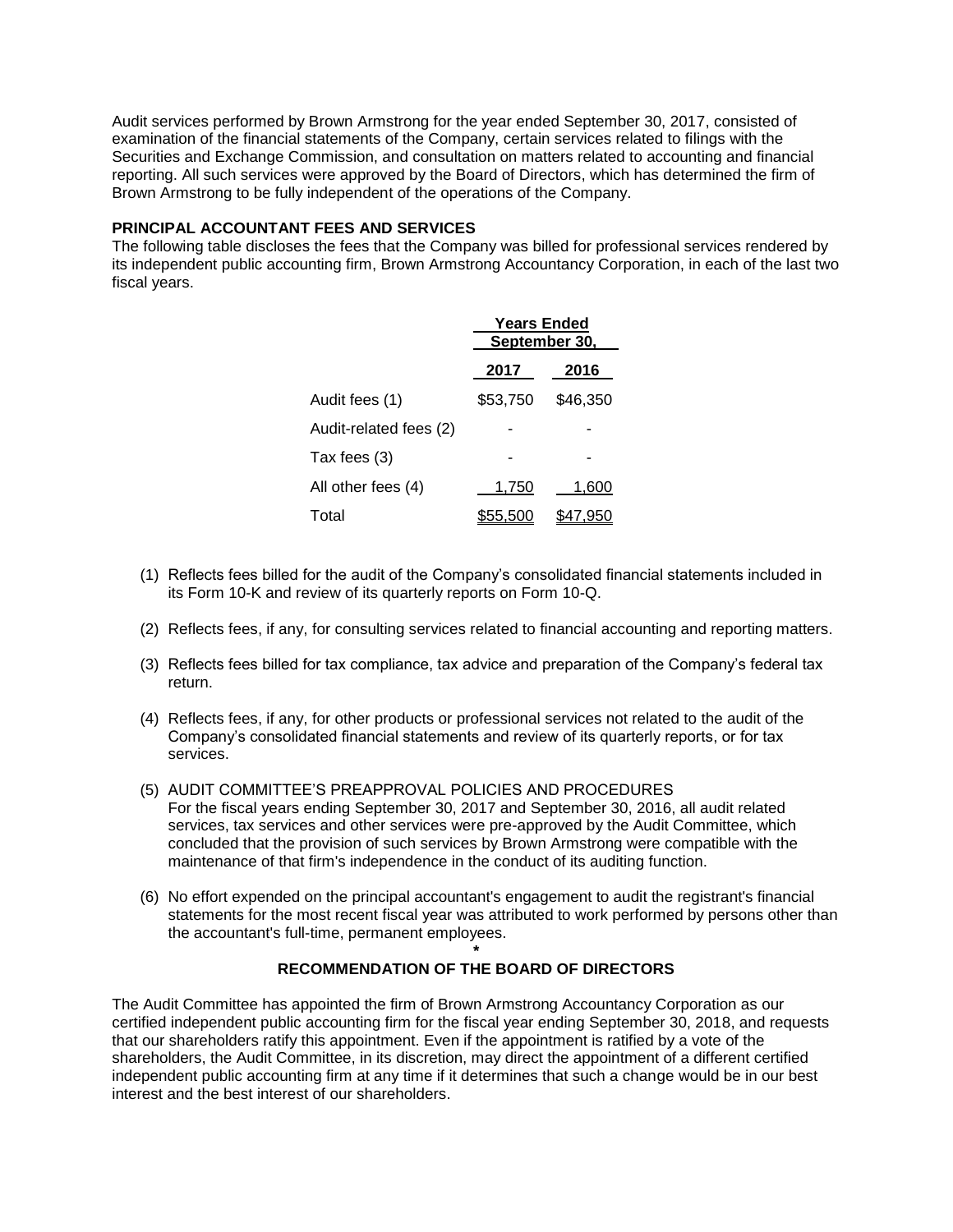Audit services performed by Brown Armstrong for the year ended September 30, 2017, consisted of examination of the financial statements of the Company, certain services related to filings with the Securities and Exchange Commission, and consultation on matters related to accounting and financial reporting. All such services were approved by the Board of Directors, which has determined the firm of Brown Armstrong to be fully independent of the operations of the Company.

## **PRINCIPAL ACCOUNTANT FEES AND SERVICES**

The following table discloses the fees that the Company was billed for professional services rendered by its independent public accounting firm, Brown Armstrong Accountancy Corporation, in each of the last two fiscal years.

|                        | <b>Years Ended</b><br>September 30, |          |  |
|------------------------|-------------------------------------|----------|--|
|                        | 2017                                | 2016     |  |
| Audit fees (1)         | \$53,750                            | \$46,350 |  |
| Audit-related fees (2) |                                     |          |  |
| Tax fees (3)           |                                     |          |  |
| All other fees (4)     | 1,750                               | 1,600    |  |
| Total                  | 55.500                              | 47.950;  |  |

- (1) Reflects fees billed for the audit of the Company's consolidated financial statements included in its Form 10-K and review of its quarterly reports on Form 10-Q.
- (2) Reflects fees, if any, for consulting services related to financial accounting and reporting matters.
- (3) Reflects fees billed for tax compliance, tax advice and preparation of the Company's federal tax return.
- (4) Reflects fees, if any, for other products or professional services not related to the audit of the Company's consolidated financial statements and review of its quarterly reports, or for tax services.
- (5) AUDIT COMMITTEE'S PREAPPROVAL POLICIES AND PROCEDURES For the fiscal years ending September 30, 2017 and September 30, 2016, all audit related services, tax services and other services were pre-approved by the Audit Committee, which concluded that the provision of such services by Brown Armstrong were compatible with the maintenance of that firm's independence in the conduct of its auditing function.
- (6) No effort expended on the principal accountant's engagement to audit the registrant's financial statements for the most recent fiscal year was attributed to work performed by persons other than the accountant's full-time, permanent employees.

#### **\* RECOMMENDATION OF THE BOARD OF DIRECTORS**

The Audit Committee has appointed the firm of Brown Armstrong Accountancy Corporation as our certified independent public accounting firm for the fiscal year ending September 30, 2018, and requests that our shareholders ratify this appointment. Even if the appointment is ratified by a vote of the shareholders, the Audit Committee, in its discretion, may direct the appointment of a different certified independent public accounting firm at any time if it determines that such a change would be in our best interest and the best interest of our shareholders.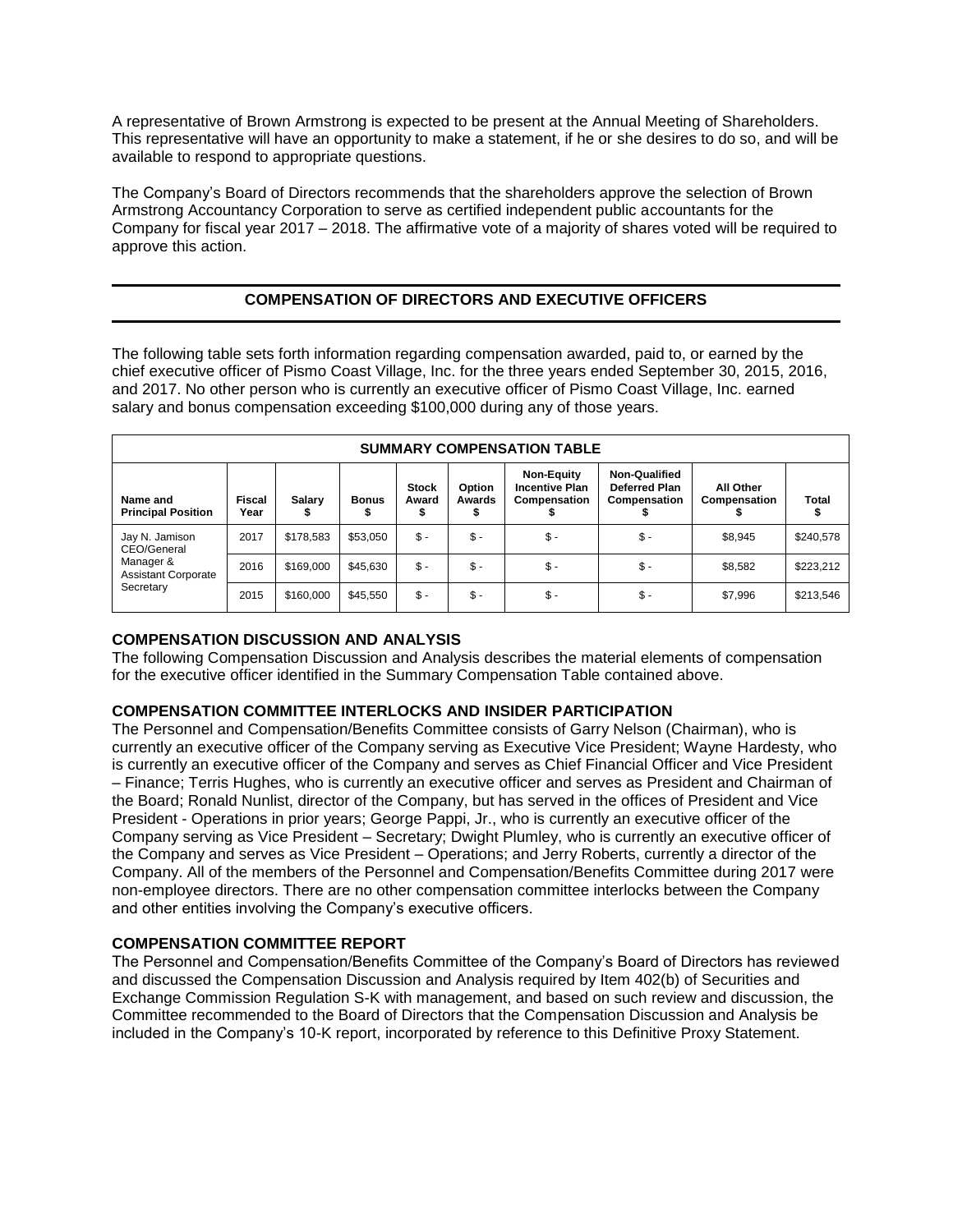A representative of Brown Armstrong is expected to be present at the Annual Meeting of Shareholders. This representative will have an opportunity to make a statement, if he or she desires to do so, and will be available to respond to appropriate questions.

The Company's Board of Directors recommends that the shareholders approve the selection of Brown Armstrong Accountancy Corporation to serve as certified independent public accountants for the Company for fiscal year 2017 – 2018. The affirmative vote of a majority of shares voted will be required to approve this action.

# **COMPENSATION OF DIRECTORS AND EXECUTIVE OFFICERS**

The following table sets forth information regarding compensation awarded, paid to, or earned by the chief executive officer of Pismo Coast Village, Inc. for the three years ended September 30, 2015, 2016, and 2017. No other person who is currently an executive officer of Pismo Coast Village, Inc. earned salary and bonus compensation exceeding \$100,000 during any of those years.

| <b>SUMMARY COMPENSATION TABLE</b>       |                       |           |              |                       |                  |                                                            |                                                       |                           |           |
|-----------------------------------------|-----------------------|-----------|--------------|-----------------------|------------------|------------------------------------------------------------|-------------------------------------------------------|---------------------------|-----------|
| Name and<br><b>Principal Position</b>   | <b>Fiscal</b><br>Year | Salary    | <b>Bonus</b> | <b>Stock</b><br>Award | Option<br>Awards | <b>Non-Equity</b><br><b>Incentive Plan</b><br>Compensation | <b>Non-Qualified</b><br>Deferred Plan<br>Compensation | All Other<br>Compensation | Total     |
| Jay N. Jamison<br>CEO/General           | 2017                  | \$178,583 | \$53,050     | $\mathsf{s}$ .        | $\mathsf{\$}$ -  | $$ -$                                                      | $\mathsf{\$}$ -                                       | \$8,945                   | \$240,578 |
| Manager &<br><b>Assistant Corporate</b> | 2016                  | \$169,000 | \$45.630     | $$ -$                 | $\mathbb{S}$ -   | $$ -$                                                      | \$ -                                                  | \$8,582                   | \$223,212 |
| Secretary                               | 2015                  | \$160,000 | \$45.550     | $$ -$                 | $\mathsf{\$}$ -  | $$ -$                                                      | $\mathsf{\$}$ -                                       | \$7,996                   | \$213,546 |

## **COMPENSATION DISCUSSION AND ANALYSIS**

The following Compensation Discussion and Analysis describes the material elements of compensation for the executive officer identified in the Summary Compensation Table contained above.

# **COMPENSATION COMMITTEE INTERLOCKS AND INSIDER PARTICIPATION**

The Personnel and Compensation/Benefits Committee consists of Garry Nelson (Chairman), who is currently an executive officer of the Company serving as Executive Vice President; Wayne Hardesty, who is currently an executive officer of the Company and serves as Chief Financial Officer and Vice President – Finance; Terris Hughes, who is currently an executive officer and serves as President and Chairman of the Board; Ronald Nunlist, director of the Company, but has served in the offices of President and Vice President - Operations in prior years; George Pappi, Jr., who is currently an executive officer of the Company serving as Vice President – Secretary; Dwight Plumley, who is currently an executive officer of the Company and serves as Vice President – Operations; and Jerry Roberts, currently a director of the Company. All of the members of the Personnel and Compensation/Benefits Committee during 2017 were non-employee directors. There are no other compensation committee interlocks between the Company and other entities involving the Company's executive officers.

# **COMPENSATION COMMITTEE REPORT**

The Personnel and Compensation/Benefits Committee of the Company's Board of Directors has reviewed and discussed the Compensation Discussion and Analysis required by Item 402(b) of Securities and Exchange Commission Regulation S-K with management, and based on such review and discussion, the Committee recommended to the Board of Directors that the Compensation Discussion and Analysis be included in the Company's 10-K report, incorporated by reference to this Definitive Proxy Statement.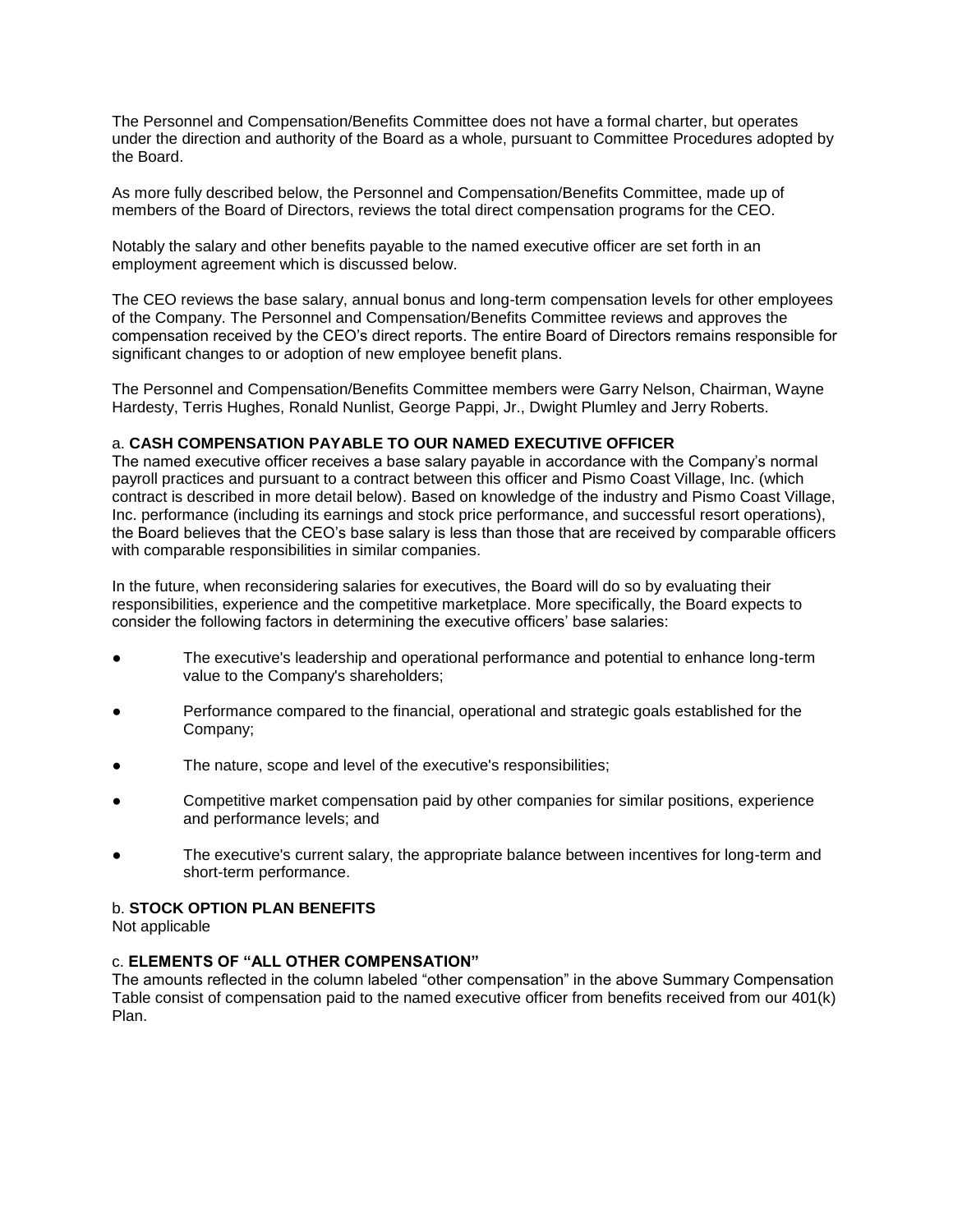The Personnel and Compensation/Benefits Committee does not have a formal charter, but operates under the direction and authority of the Board as a whole, pursuant to Committee Procedures adopted by the Board.

As more fully described below, the Personnel and Compensation/Benefits Committee, made up of members of the Board of Directors, reviews the total direct compensation programs for the CEO.

Notably the salary and other benefits payable to the named executive officer are set forth in an employment agreement which is discussed below.

The CEO reviews the base salary, annual bonus and long-term compensation levels for other employees of the Company. The Personnel and Compensation/Benefits Committee reviews and approves the compensation received by the CEO's direct reports. The entire Board of Directors remains responsible for significant changes to or adoption of new employee benefit plans.

The Personnel and Compensation/Benefits Committee members were Garry Nelson, Chairman, Wayne Hardesty, Terris Hughes, Ronald Nunlist, George Pappi, Jr., Dwight Plumley and Jerry Roberts.

#### a. **CASH COMPENSATION PAYABLE TO OUR NAMED EXECUTIVE OFFICER**

The named executive officer receives a base salary payable in accordance with the Company's normal payroll practices and pursuant to a contract between this officer and Pismo Coast Village, Inc. (which contract is described in more detail below). Based on knowledge of the industry and Pismo Coast Village, Inc. performance (including its earnings and stock price performance, and successful resort operations), the Board believes that the CEO's base salary is less than those that are received by comparable officers with comparable responsibilities in similar companies.

In the future, when reconsidering salaries for executives, the Board will do so by evaluating their responsibilities, experience and the competitive marketplace. More specifically, the Board expects to consider the following factors in determining the executive officers' base salaries:

- The executive's leadership and operational performance and potential to enhance long-term value to the Company's shareholders;
- Performance compared to the financial, operational and strategic goals established for the Company;
- The nature, scope and level of the executive's responsibilities;
- Competitive market compensation paid by other companies for similar positions, experience and performance levels; and
- The executive's current salary, the appropriate balance between incentives for long-term and short-term performance.

#### b. **STOCK OPTION PLAN BENEFITS**

Not applicable

# c. **ELEMENTS OF "ALL OTHER COMPENSATION"**

The amounts reflected in the column labeled "other compensation" in the above Summary Compensation Table consist of compensation paid to the named executive officer from benefits received from our 401(k) Plan.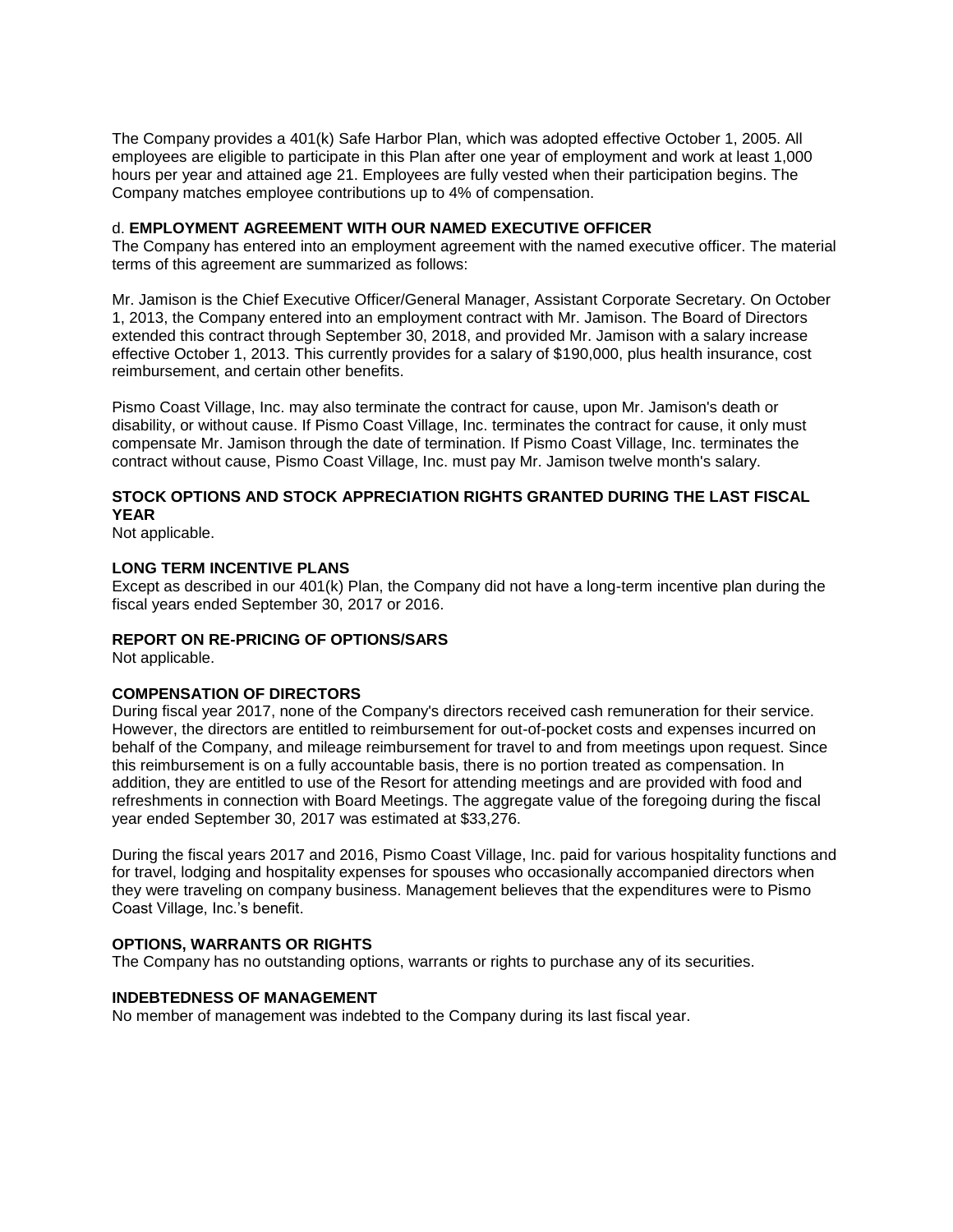The Company provides a 401(k) Safe Harbor Plan, which was adopted effective October 1, 2005. All employees are eligible to participate in this Plan after one year of employment and work at least 1,000 hours per year and attained age 21. Employees are fully vested when their participation begins. The Company matches employee contributions up to 4% of compensation.

#### d. **EMPLOYMENT AGREEMENT WITH OUR NAMED EXECUTIVE OFFICER**

The Company has entered into an employment agreement with the named executive officer. The material terms of this agreement are summarized as follows:

Mr. Jamison is the Chief Executive Officer/General Manager, Assistant Corporate Secretary. On October 1, 2013, the Company entered into an employment contract with Mr. Jamison. The Board of Directors extended this contract through September 30, 2018, and provided Mr. Jamison with a salary increase effective October 1, 2013. This currently provides for a salary of \$190,000, plus health insurance, cost reimbursement, and certain other benefits.

Pismo Coast Village, Inc. may also terminate the contract for cause, upon Mr. Jamison's death or disability, or without cause. If Pismo Coast Village, Inc. terminates the contract for cause, it only must compensate Mr. Jamison through the date of termination. If Pismo Coast Village, Inc. terminates the contract without cause, Pismo Coast Village, Inc. must pay Mr. Jamison twelve month's salary.

# **STOCK OPTIONS AND STOCK APPRECIATION RIGHTS GRANTED DURING THE LAST FISCAL YEAR**

Not applicable.

#### **LONG TERM INCENTIVE PLANS**

Except as described in our 401(k) Plan, the Company did not have a long-term incentive plan during the fiscal years ended September 30, 2017 or 2016.

#### **REPORT ON RE-PRICING OF OPTIONS/SARS**

Not applicable.

#### **COMPENSATION OF DIRECTORS**

During fiscal year 2017, none of the Company's directors received cash remuneration for their service. However, the directors are entitled to reimbursement for out-of-pocket costs and expenses incurred on behalf of the Company, and mileage reimbursement for travel to and from meetings upon request. Since this reimbursement is on a fully accountable basis, there is no portion treated as compensation. In addition, they are entitled to use of the Resort for attending meetings and are provided with food and refreshments in connection with Board Meetings. The aggregate value of the foregoing during the fiscal year ended September 30, 2017 was estimated at \$33,276.

During the fiscal years 2017 and 2016, Pismo Coast Village, Inc. paid for various hospitality functions and for travel, lodging and hospitality expenses for spouses who occasionally accompanied directors when they were traveling on company business. Management believes that the expenditures were to Pismo Coast Village, Inc.'s benefit.

#### **OPTIONS, WARRANTS OR RIGHTS**

The Company has no outstanding options, warrants or rights to purchase any of its securities.

#### **INDEBTEDNESS OF MANAGEMENT**

No member of management was indebted to the Company during its last fiscal year.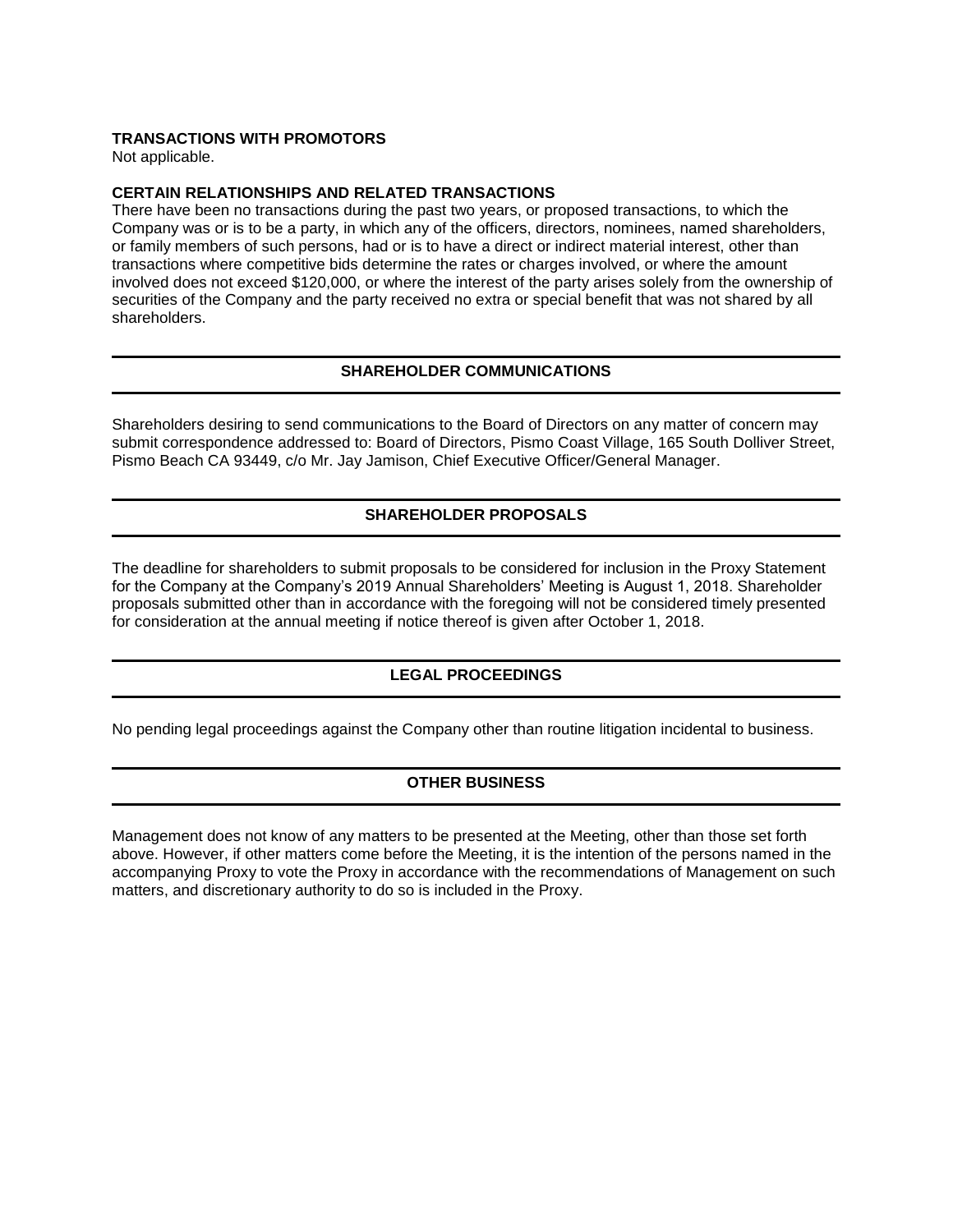## **TRANSACTIONS WITH PROMOTORS**

Not applicable.

## **CERTAIN RELATIONSHIPS AND RELATED TRANSACTIONS**

There have been no transactions during the past two years, or proposed transactions, to which the Company was or is to be a party, in which any of the officers, directors, nominees, named shareholders, or family members of such persons, had or is to have a direct or indirect material interest, other than transactions where competitive bids determine the rates or charges involved, or where the amount involved does not exceed \$120,000, or where the interest of the party arises solely from the ownership of securities of the Company and the party received no extra or special benefit that was not shared by all shareholders.

# **SHAREHOLDER COMMUNICATIONS**

Shareholders desiring to send communications to the Board of Directors on any matter of concern may submit correspondence addressed to: Board of Directors, Pismo Coast Village, 165 South Dolliver Street, Pismo Beach CA 93449, c/o Mr. Jay Jamison, Chief Executive Officer/General Manager.

# **SHAREHOLDER PROPOSALS**

The deadline for shareholders to submit proposals to be considered for inclusion in the Proxy Statement for the Company at the Company's 2019 Annual Shareholders' Meeting is August 1, 2018. Shareholder proposals submitted other than in accordance with the foregoing will not be considered timely presented for consideration at the annual meeting if notice thereof is given after October 1, 2018.

# **LEGAL PROCEEDINGS**

No pending legal proceedings against the Company other than routine litigation incidental to business.

# **OTHER BUSINESS**

Management does not know of any matters to be presented at the Meeting, other than those set forth above. However, if other matters come before the Meeting, it is the intention of the persons named in the accompanying Proxy to vote the Proxy in accordance with the recommendations of Management on such matters, and discretionary authority to do so is included in the Proxy.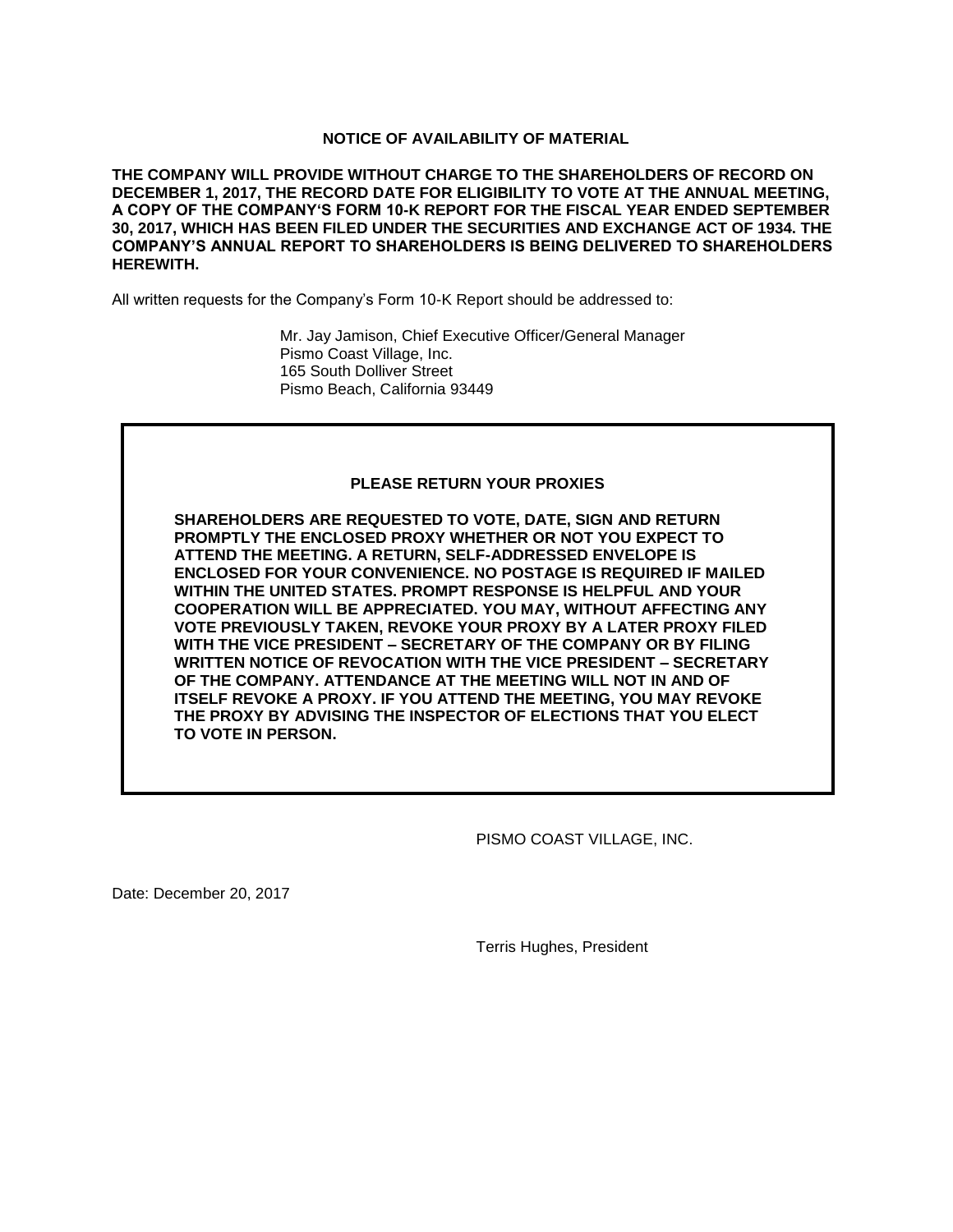## **NOTICE OF AVAILABILITY OF MATERIAL**

**THE COMPANY WILL PROVIDE WITHOUT CHARGE TO THE SHAREHOLDERS OF RECORD ON DECEMBER 1, 2017, THE RECORD DATE FOR ELIGIBILITY TO VOTE AT THE ANNUAL MEETING, A COPY OF THE COMPANY'S FORM 10-K REPORT FOR THE FISCAL YEAR ENDED SEPTEMBER 30, 2017, WHICH HAS BEEN FILED UNDER THE SECURITIES AND EXCHANGE ACT OF 1934. THE COMPANY'S ANNUAL REPORT TO SHAREHOLDERS IS BEING DELIVERED TO SHAREHOLDERS HEREWITH.**

All written requests for the Company's Form 10-K Report should be addressed to:

Mr. Jay Jamison, Chief Executive Officer/General Manager Pismo Coast Village, Inc. 165 South Dolliver Street Pismo Beach, California 93449

## **PLEASE RETURN YOUR PROXIES**

**SHAREHOLDERS ARE REQUESTED TO VOTE, DATE, SIGN AND RETURN PROMPTLY THE ENCLOSED PROXY WHETHER OR NOT YOU EXPECT TO ATTEND THE MEETING. A RETURN, SELF-ADDRESSED ENVELOPE IS ENCLOSED FOR YOUR CONVENIENCE. NO POSTAGE IS REQUIRED IF MAILED WITHIN THE UNITED STATES. PROMPT RESPONSE IS HELPFUL AND YOUR COOPERATION WILL BE APPRECIATED. YOU MAY, WITHOUT AFFECTING ANY VOTE PREVIOUSLY TAKEN, REVOKE YOUR PROXY BY A LATER PROXY FILED WITH THE VICE PRESIDENT – SECRETARY OF THE COMPANY OR BY FILING WRITTEN NOTICE OF REVOCATION WITH THE VICE PRESIDENT – SECRETARY OF THE COMPANY. ATTENDANCE AT THE MEETING WILL NOT IN AND OF ITSELF REVOKE A PROXY. IF YOU ATTEND THE MEETING, YOU MAY REVOKE THE PROXY BY ADVISING THE INSPECTOR OF ELECTIONS THAT YOU ELECT TO VOTE IN PERSON.**

PISMO COAST VILLAGE, INC.

Date: December 20, 2017

Terris Hughes, President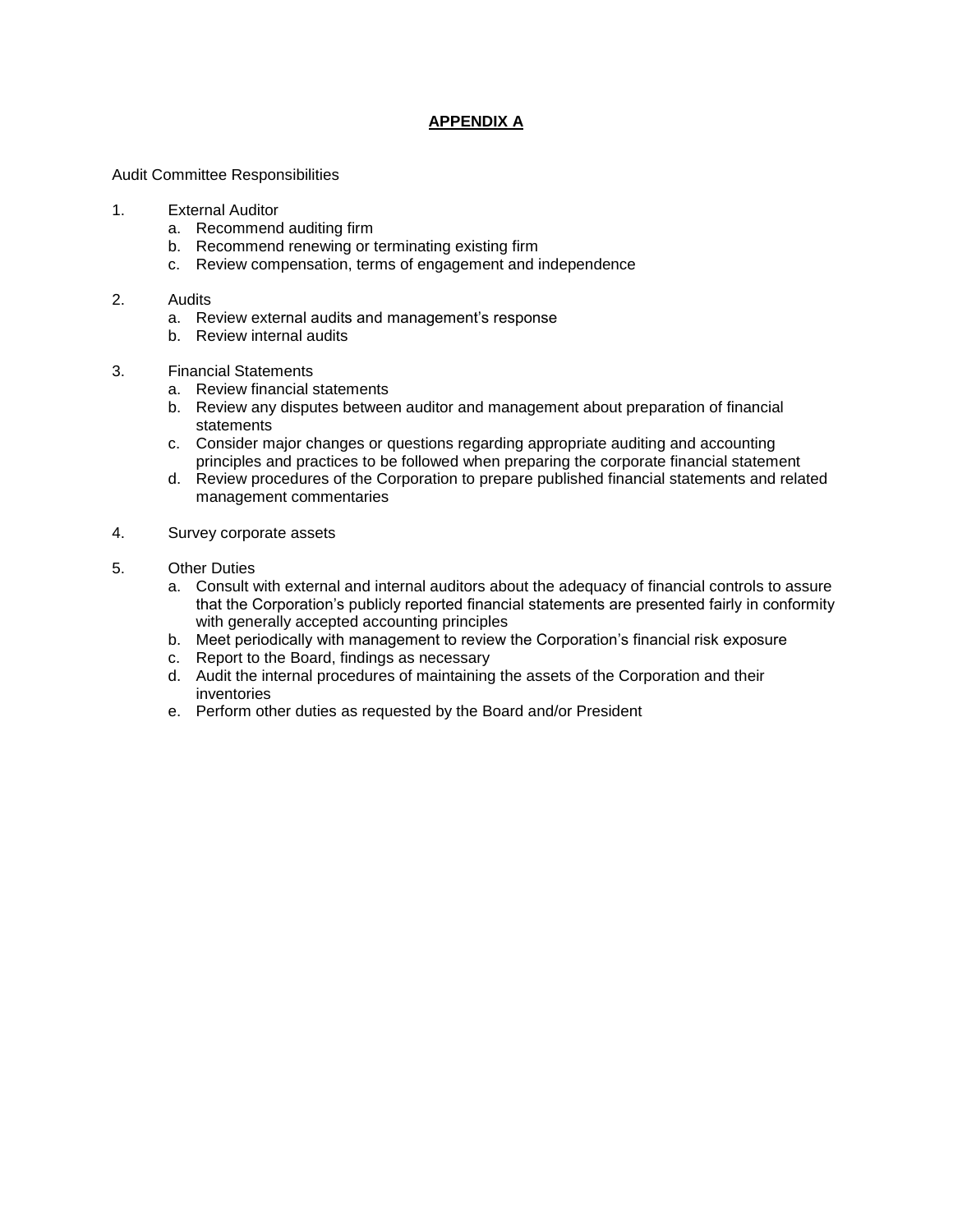# **APPENDIX A**

Audit Committee Responsibilities

#### 1. External Auditor

- a. Recommend auditing firm
- b. Recommend renewing or terminating existing firm
- c. Review compensation, terms of engagement and independence

#### 2. Audits

- a. Review external audits and management's response
- b. Review internal audits

#### 3. Financial Statements

- a. Review financial statements
- b. Review any disputes between auditor and management about preparation of financial statements
- c. Consider major changes or questions regarding appropriate auditing and accounting principles and practices to be followed when preparing the corporate financial statement
- d. Review procedures of the Corporation to prepare published financial statements and related management commentaries
- 4. Survey corporate assets
- 5. Other Duties
	- a. Consult with external and internal auditors about the adequacy of financial controls to assure that the Corporation's publicly reported financial statements are presented fairly in conformity with generally accepted accounting principles
	- b. Meet periodically with management to review the Corporation's financial risk exposure
	- c. Report to the Board, findings as necessary
	- d. Audit the internal procedures of maintaining the assets of the Corporation and their inventories
	- e. Perform other duties as requested by the Board and/or President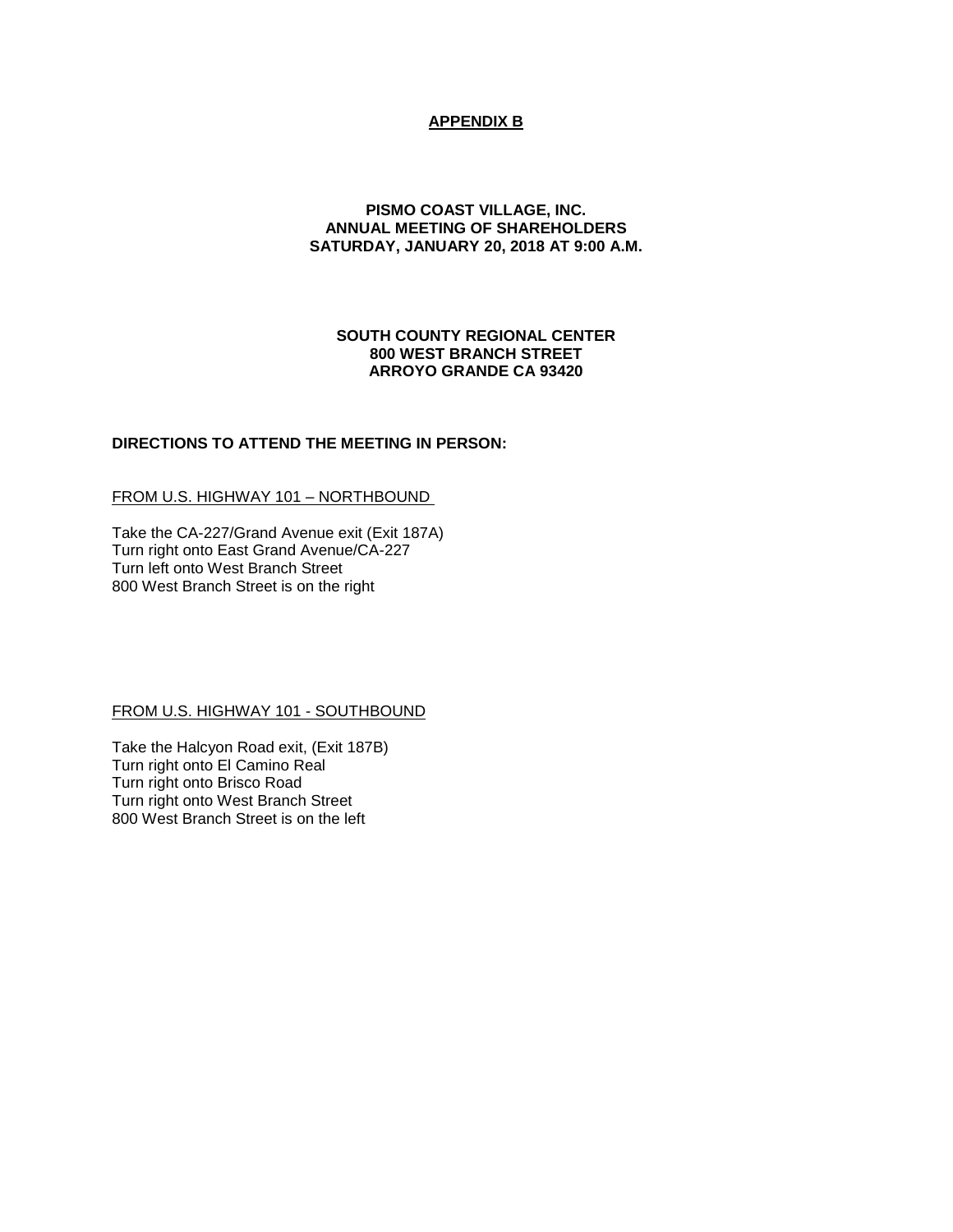# **APPENDIX B**

## **PISMO COAST VILLAGE, INC. ANNUAL MEETING OF SHAREHOLDERS SATURDAY, JANUARY 20, 2018 AT 9:00 A.M.**

## **SOUTH COUNTY REGIONAL CENTER 800 WEST BRANCH STREET ARROYO GRANDE CA 93420**

## **DIRECTIONS TO ATTEND THE MEETING IN PERSON:**

## FROM U.S. HIGHWAY 101 – NORTHBOUND

Take the CA-227/Grand Avenue exit (Exit 187A) Turn right onto East Grand Avenue/CA-227 Turn left onto West Branch Street 800 West Branch Street is on the right

#### FROM U.S. HIGHWAY 101 - SOUTHBOUND

Take the Halcyon Road exit, (Exit 187B) Turn right onto El Camino Real Turn right onto Brisco Road Turn right onto West Branch Street 800 West Branch Street is on the left